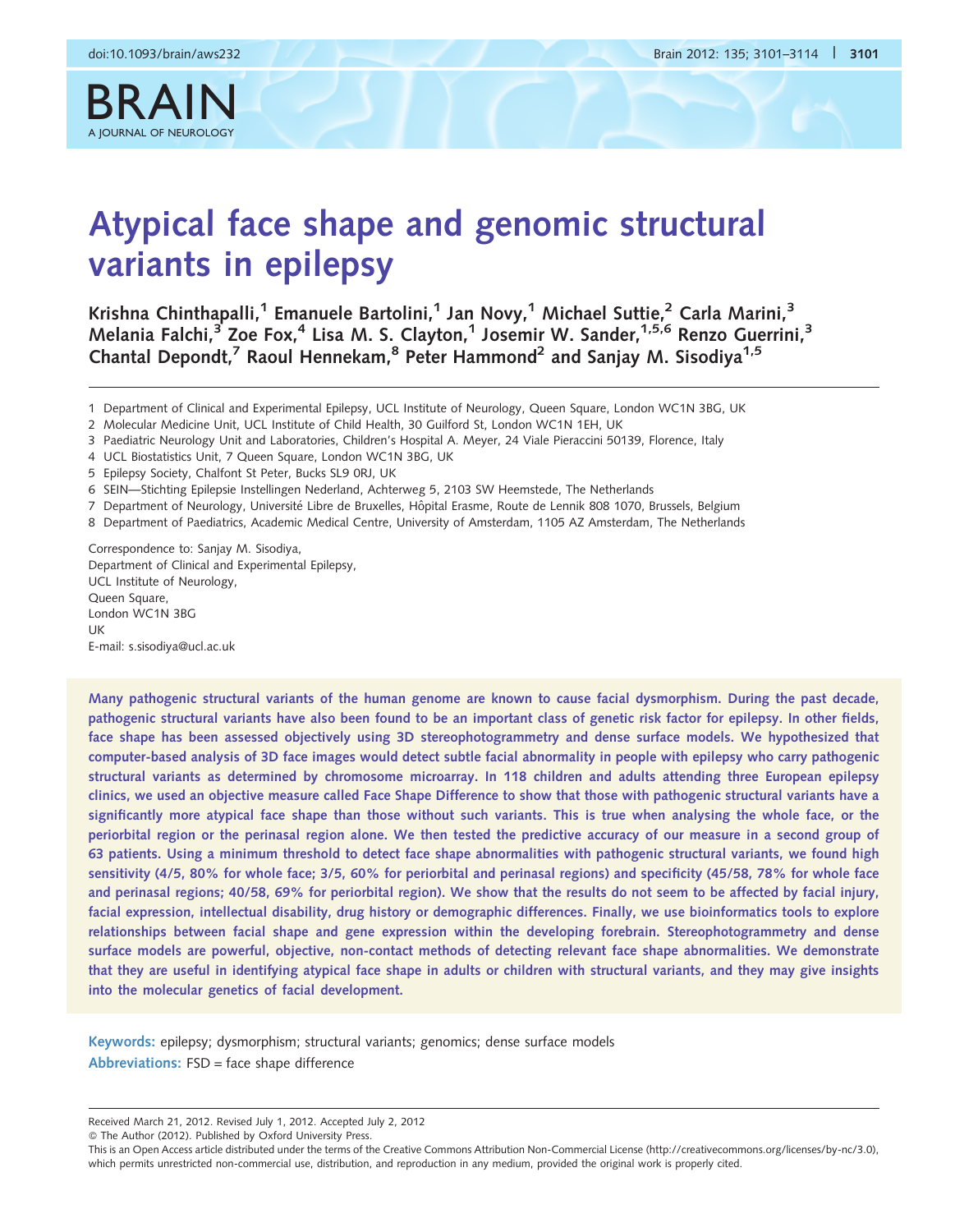BRAIN

# Atypical face shape and genomic structural variants in epilepsy

Krishna Chinthapalli,<sup>1</sup> Emanuele Bartolini,<sup>1</sup> Jan Novy,<sup>1</sup> Michael Suttie,<sup>2</sup> Carla Marini,<sup>3</sup> Melania Falchi,<sup>3</sup> Zoe Fox,<sup>4</sup> Lisa M. S. Clayton,<sup>1</sup> Josemir W. Sander,<sup>1,5,6</sup> Renzo Guerrini,<sup>3</sup> Chantal Depondt,<sup>7</sup> Raoul Hennekam,<sup>8</sup> Peter Hammond<sup>2</sup> and Sanjay M. Sisodiya<sup>1,5</sup>

8 Department of Paediatrics, Academic Medical Centre, University of Amsterdam, 1105 AZ Amsterdam, The Netherlands

Correspondence to: Sanjay M. Sisodiya, Department of Clinical and Experimental Epilepsy, UCL Institute of Neurology, Queen Square, London WC1N 3BG UK E-mail: s.sisodiya@ucl.ac.uk

Many pathogenic structural variants of the human genome are known to cause facial dysmorphism. During the past decade, pathogenic structural variants have also been found to be an important class of genetic risk factor for epilepsy. In other fields, face shape has been assessed objectively using 3D stereophotogrammetry and dense surface models. We hypothesized that computer-based analysis of 3D face images would detect subtle facial abnormality in people with epilepsy who carry pathogenic structural variants as determined by chromosome microarray. In 118 children and adults attending three European epilepsy clinics, we used an objective measure called Face Shape Difference to show that those with pathogenic structural variants have a significantly more atypical face shape than those without such variants. This is true when analysing the whole face, or the periorbital region or the perinasal region alone. We then tested the predictive accuracy of our measure in a second group of 63 patients. Using a minimum threshold to detect face shape abnormalities with pathogenic structural variants, we found high sensitivity (4/5, 80% for whole face; 3/5, 60% for periorbital and perinasal regions) and specificity (45/58, 78% for whole face and perinasal regions; 40/58, 69% for periorbital region). We show that the results do not seem to be affected by facial injury, facial expression, intellectual disability, drug history or demographic differences. Finally, we use bioinformatics tools to explore relationships between facial shape and gene expression within the developing forebrain. Stereophotogrammetry and dense surface models are powerful, objective, non-contact methods of detecting relevant face shape abnormalities. We demonstrate that they are useful in identifying atypical face shape in adults or children with structural variants, and they may give insights into the molecular genetics of facial development.

Keywords: epilepsy; dysmorphism; structural variants; genomics; dense surface models Abbreviations: FSD = face shape difference

Received March 21, 2012. Revised July 1, 2012. Accepted July 2, 2012

- The Author (2012). Published by Oxford University Press.

<sup>1</sup> Department of Clinical and Experimental Epilepsy, UCL Institute of Neurology, Queen Square, London WC1N 3BG, UK

<sup>2</sup> Molecular Medicine Unit, UCL Institute of Child Health, 30 Guilford St, London WC1N 1EH, UK

<sup>3</sup> Paediatric Neurology Unit and Laboratories, Children's Hospital A. Meyer, 24 Viale Pieraccini 50139, Florence, Italy

<sup>4</sup> UCL Biostatistics Unit, 7 Queen Square, London WC1N 3BG, UK

<sup>5</sup> Epilepsy Society, Chalfont St Peter, Bucks SL9 0RJ, UK

<sup>6</sup> SEIN—Stichting Epilepsie Instellingen Nederland, Achterweg 5, 2103 SW Heemstede, The Netherlands

<sup>7</sup> Department of Neurology, Université Libre de Bruxelles, Hôpital Erasme, Route de Lennik 808 1070, Brussels, Belgium

This is an Open Access article distributed under the terms of the Creative Commons Attribution Non-Commercial License (http://creativecommons.org/licenses/by-nc/3.0), which permits unrestricted non-commercial use, distribution, and reproduction in any medium, provided the original work is properly cited.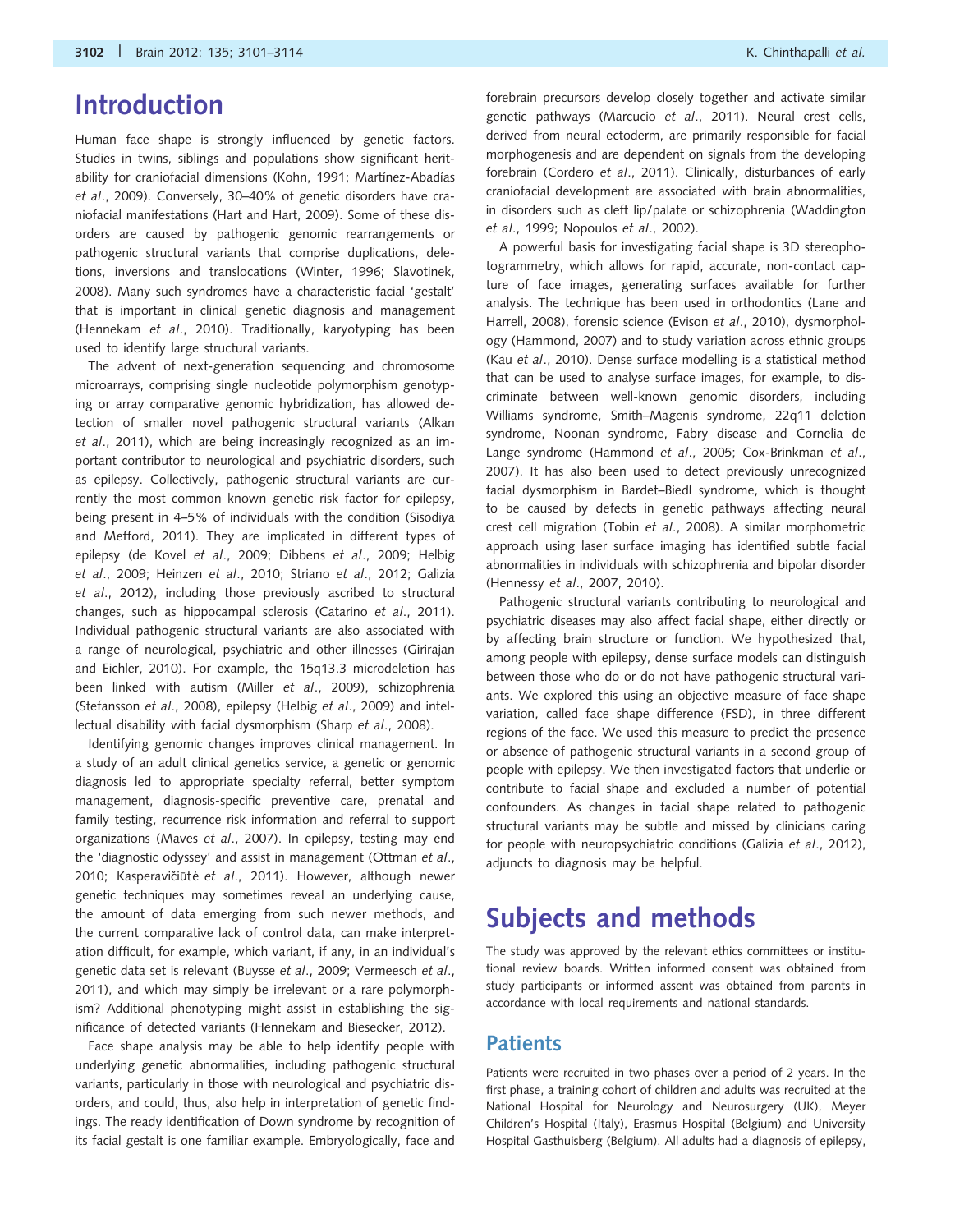# Introduction

Human face shape is strongly influenced by genetic factors. Studies in twins, siblings and populations show significant heritability for craniofacial dimensions (Kohn, 1991; Martínez-Abadías et al[., 2009](#page-12-0)). Conversely, 30–40% of genetic disorders have craniofacial manifestations [\(Hart and Hart, 2009](#page-12-0)). Some of these disorders are caused by pathogenic genomic rearrangements or pathogenic structural variants that comprise duplications, deletions, inversions and translocations ([Winter, 1996; Slavotinek,](#page-13-0) [2008\)](#page-13-0). Many such syndromes have a characteristic facial 'gestalt' that is important in clinical genetic diagnosis and management [\(Hennekam](#page-12-0) et al., 2010). Traditionally, karyotyping has been used to identify large structural variants.

The advent of next-generation sequencing and chromosome microarrays, comprising single nucleotide polymorphism genotyping or array comparative genomic hybridization, has allowed detection of smaller novel pathogenic structural variants ([Alkan](#page-11-0) et al[., 2011\),](#page-11-0) which are being increasingly recognized as an important contributor to neurological and psychiatric disorders, such as epilepsy. Collectively, pathogenic structural variants are currently the most common known genetic risk factor for epilepsy, being present in 4–5% of individuals with the condition [\(Sisodiya](#page-13-0) [and Mefford, 2011\)](#page-13-0). They are implicated in different types of epilepsy [\(de Kovel](#page-12-0) et al., 2009; [Dibbens](#page-12-0) et al., 2009; [Helbig](#page-12-0) et al[., 2009; Heinzen](#page-12-0) et al., 2010; [Striano](#page-13-0) et al., 201[2;](#page-13-0) [Galizia](#page-12-0) et al[., 2012\)](#page-12-0), including those previously ascribed to structural changes, such as hippocampal sclerosis [\(Catarino](#page-11-0) et al., 2011). Individual pathogenic structural variants are also associated with a range of neurological, psychiatric and other illnesses ([Girirajan](#page-12-0) [and Eichler, 2010](#page-12-0)). For example, the 15q13.3 microdeletion has been linked with autism (Miller et al[., 2009\),](#page-12-0) schizophrenia [\(Stefansson](#page-13-0) et al., 2008), epilepsy (Helbig et al[., 2009\)](#page-12-0) and intellectual disability with facial dysmorphism (Sharp et al[., 2008\)](#page-13-0).

Identifying genomic changes improves clinical management. In a study of an adult clinical genetics service, a genetic or genomic diagnosis led to appropriate specialty referral, better symptom management, diagnosis-specific preventive care, prenatal and family testing, recurrence risk information and referral to support organizations (Maves et al[., 2007\)](#page-12-0). In epilepsy, testing may end the 'diagnostic odyssey' and assist in management [\(Ottman](#page-12-0) et al., 2010; Kasperavičiūtė et al[., 2011\)](#page-12-0). However, although newer genetic techniques may sometimes reveal an underlying cause, the amount of data emerging from such newer methods, and the current comparative lack of control data, can make interpretation difficult, for example, which variant, if any, in an individual's genetic data set is relevant (Buysse et al[., 2009;](#page-11-0) [Vermeesch](#page-13-0) et al., [2011\)](#page-13-0), and which may simply be irrelevant or a rare polymorphism? Additional phenotyping might assist in establishing the significance of detected variants ([Hennekam and Biesecker, 2012](#page-12-0)).

Face shape analysis may be able to help identify people with underlying genetic abnormalities, including pathogenic structural variants, particularly in those with neurological and psychiatric disorders, and could, thus, also help in interpretation of genetic findings. The ready identification of Down syndrome by recognition of its facial gestalt is one familiar example. Embryologically, face and

forebrain precursors develop closely together and activate similar genetic pathways [\(Marcucio](#page-12-0) et al., 2011). Neural crest cells, derived from neural ectoderm, are primarily responsible for facial morphogenesis and are dependent on signals from the developing forebrain ([Cordero](#page-11-0) et al., 2011). Clinically, disturbances of early craniofacial development are associated with brain abnormalities, in disorders such as cleft lip/palate or schizophrenia ([Waddington](#page-13-0) et al[., 1999;](#page-13-0) [Nopoulos](#page-12-0) et al., 2002).

A powerful basis for investigating facial shape is 3D stereophotogrammetry, which allows for rapid, accurate, non-contact capture of face images, generating surfaces available for further analysis. The technique has been used in orthodontics [\(Lane and](#page-12-0) [Harrell, 2008](#page-12-0)), forensic science (Evison et al[., 2010\)](#page-12-0), dysmorphology [\(Hammond, 2007](#page-12-0)) and to study variation across ethnic groups (Kau et al[., 2010](#page-12-0)). Dense surface modelling is a statistical method that can be used to analyse surface images, for example, to discriminate between well-known genomic disorders, including Williams syndrome, Smith–Magenis syndrome, 22q11 deletion syndrome, Noonan syndrome, Fabry disease and Cornelia de Lange syndrome [\(Hammond](#page-12-0) et al., 2005; [Cox-Brinkman](#page-11-0) et al., [2007\)](#page-11-0). It has also been used to detect previously unrecognized facial dysmorphism in Bardet–Biedl syndrome, which is thought to be caused by defects in genetic pathways affecting neural crest cell migration (Tobin et al[., 2008](#page-13-0)). A similar morphometric approach using laser surface imaging has identified subtle facial abnormalities in individuals with schizophrenia and bipolar disorder ([Hennessy](#page-12-0) et al., 2007, [2010](#page-12-0)).

Pathogenic structural variants contributing to neurological and psychiatric diseases may also affect facial shape, either directly or by affecting brain structure or function. We hypothesized that, among people with epilepsy, dense surface models can distinguish between those who do or do not have pathogenic structural variants. We explored this using an objective measure of face shape variation, called face shape difference (FSD), in three different regions of the face. We used this measure to predict the presence or absence of pathogenic structural variants in a second group of people with epilepsy. We then investigated factors that underlie or contribute to facial shape and excluded a number of potential confounders. As changes in facial shape related to pathogenic structural variants may be subtle and missed by clinicians caring for people with neuropsychiatric conditions (Galizia et al[., 2012\)](#page-12-0), adjuncts to diagnosis may be helpful.

# Subjects and methods

The study was approved by the relevant ethics committees or institutional review boards. Written informed consent was obtained from study participants or informed assent was obtained from parents in accordance with local requirements and national standards.

#### **Patients**

Patients were recruited in two phases over a period of 2 years. In the first phase, a training cohort of children and adults was recruited at the National Hospital for Neurology and Neurosurgery (UK), Meyer Children's Hospital (Italy), Erasmus Hospital (Belgium) and University Hospital Gasthuisberg (Belgium). All adults had a diagnosis of epilepsy,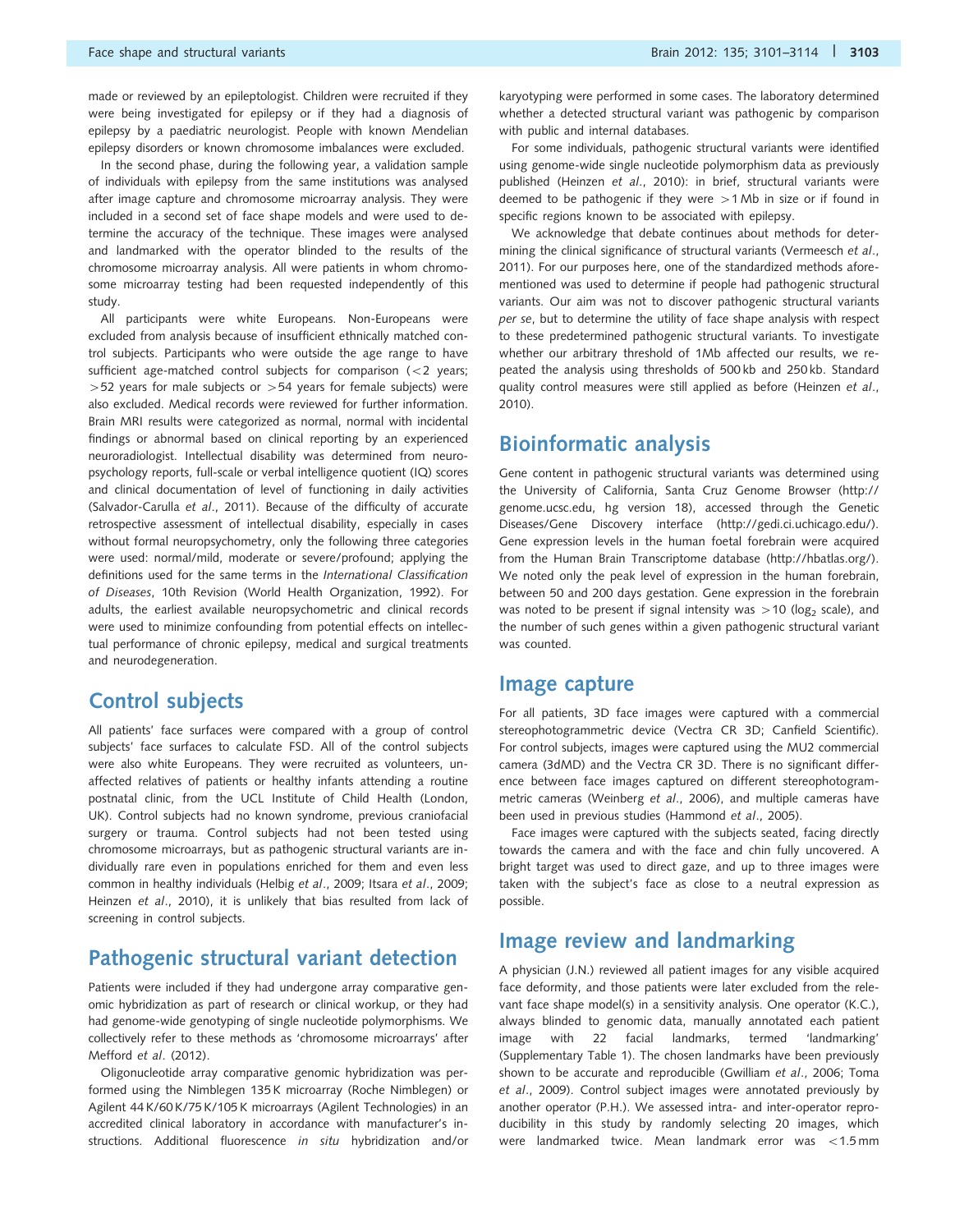made or reviewed by an epileptologist. Children were recruited if they were being investigated for epilepsy or if they had a diagnosis of epilepsy by a paediatric neurologist. People with known Mendelian epilepsy disorders or known chromosome imbalances were excluded.

In the second phase, during the following year, a validation sample of individuals with epilepsy from the same institutions was analysed after image capture and chromosome microarray analysis. They were included in a second set of face shape models and were used to determine the accuracy of the technique. These images were analysed and landmarked with the operator blinded to the results of the chromosome microarray analysis. All were patients in whom chromosome microarray testing had been requested independently of this study.

All participants were white Europeans. Non-Europeans were excluded from analysis because of insufficient ethnically matched control subjects. Participants who were outside the age range to have sufficient age-matched control subjects for comparison  $(< 2$  years;  $>$  52 years for male subjects or  $>$  54 years for female subjects) were also excluded. Medical records were reviewed for further information. Brain MRI results were categorized as normal, normal with incidental findings or abnormal based on clinical reporting by an experienced neuroradiologist. Intellectual disability was determined from neuropsychology reports, full-scale or verbal intelligence quotient (IQ) scores and clinical documentation of level of functioning in daily activities [\(Salvador-Carulla](#page-13-0) et al., 2011). Because of the difficulty of accurate retrospective assessment of intellectual disability, especially in cases without formal neuropsychometry, only the following three categories were used: normal/mild, moderate or severe/profound; applying the definitions used for the same terms in the International Classification of Diseases, 10th Revision [\(World Health Organization, 1992](#page-13-0)). For adults, the earliest available neuropsychometric and clinical records were used to minimize confounding from potential effects on intellectual performance of chronic epilepsy, medical and surgical treatments and neurodegeneration.

### Control subjects

All patients' face surfaces were compared with a group of control subjects' face surfaces to calculate FSD. All of the control subjects were also white Europeans. They were recruited as volunteers, unaffected relatives of patients or healthy infants attending a routine postnatal clinic, from the UCL Institute of Child Health (London, UK). Control subjects had no known syndrome, previous craniofacial surgery or trauma. Control subjects had not been tested using chromosome microarrays, but as pathogenic structural variants are individually rare even in populations enriched for them and even less common in healthy individuals (Helbig et al[., 2009;](#page-12-0) Itsara et al[., 2009](#page-12-0); Heinzen et al[., 2010\),](#page-12-0) it is unlikely that bias resulted from lack of screening in control subjects.

#### Pathogenic structural variant detection

Patients were included if they had undergone array comparative genomic hybridization as part of research or clinical workup, or they had had genome-wide genotyping of single nucleotide polymorphisms. We collectively refer to these methods as 'chromosome microarrays' after Mefford et al[. \(2012\).](#page-12-0)

Oligonucleotide array comparative genomic hybridization was performed using the Nimblegen 135 K microarray (Roche Nimblegen) or Agilent 44 K/60 K/75 K/105 K microarrays (Agilent Technologies) in an accredited clinical laboratory in accordance with manufacturer's instructions. Additional fluorescence in situ hybridization and/or karyotyping were performed in some cases. The laboratory determined whether a detected structural variant was pathogenic by comparison with public and internal databases.

For some individuals, pathogenic structural variants were identified using genome-wide single nucleotide polymorphism data as previously published (Heinzen et al[., 2010\):](#page-12-0) in brief, structural variants were deemed to be pathogenic if they were  $>1$  Mb in size or if found in specific regions known to be associated with epilepsy.

We acknowledge that debate continues about methods for deter-mining the clinical significance of structural variants [\(Vermeesch](#page-13-0) et al., [2011](#page-13-0)). For our purposes here, one of the standardized methods aforementioned was used to determine if people had pathogenic structural variants. Our aim was not to discover pathogenic structural variants per se, but to determine the utility of face shape analysis with respect to these predetermined pathogenic structural variants. To investigate whether our arbitrary threshold of 1Mb affected our results, we repeated the analysis using thresholds of 500 kb and 250 kb. Standard quality control measures were still applied as before [\(Heinzen](#page-12-0) et al., [2010](#page-12-0)).

### Bioinformatic analysis

Gene content in pathogenic structural variants was determined using the University of California, Santa Cruz Genome Browser [\(http://](http://genome.ucsc.edu) [genome.ucsc.edu](http://genome.ucsc.edu), hg version 18), accessed through the Genetic Diseases/Gene Discovery interface ([http://gedi.ci.uchicago.edu/\)](http://gedi.ci.uchicago.edu/). Gene expression levels in the human foetal forebrain were acquired from the Human Brain Transcriptome database ([http://hbatlas.org/\)](http://hbatlas.org/). We noted only the peak level of expression in the human forebrain, between 50 and 200 days gestation. Gene expression in the forebrain was noted to be present if signal intensity was  $>$  10 (log<sub>2</sub> scale), and the number of such genes within a given pathogenic structural variant was counted.

#### Image capture

For all patients, 3D face images were captured with a commercial stereophotogrammetric device (Vectra CR 3D; Canfield Scientific). For control subjects, images were captured using the MU2 commercial camera (3dMD) and the Vectra CR 3D. There is no significant difference between face images captured on different stereophotogrammetric cameras [\(Weinberg](#page-13-0) et al., 2006), and multiple cameras have been used in previous studies ([Hammond](#page-12-0) et al., 2005).

Face images were captured with the subjects seated, facing directly towards the camera and with the face and chin fully uncovered. A bright target was used to direct gaze, and up to three images were taken with the subject's face as close to a neutral expression as possible.

#### Image review and landmarking

A physician (J.N.) reviewed all patient images for any visible acquired face deformity, and those patients were later excluded from the relevant face shape model(s) in a sensitivity analysis. One operator (K.C.), always blinded to genomic data, manually annotated each patient image with 22 facial landmarks, termed 'landmarking' [\(Supplementary Table 1](http://brain.oxfordjournals.org/cgi/content/full/aws232/DC1)). The chosen landmarks have been previously shown to be accurate and reproducible [\(Gwilliam](#page-12-0) et al., 2006; [Toma](#page-13-0) et al[., 2009\)](#page-13-0). Control subject images were annotated previously by another operator (P.H.). We assessed intra- and inter-operator reproducibility in this study by randomly selecting 20 images, which were landmarked twice. Mean landmark error was  $<$ 1.5 mm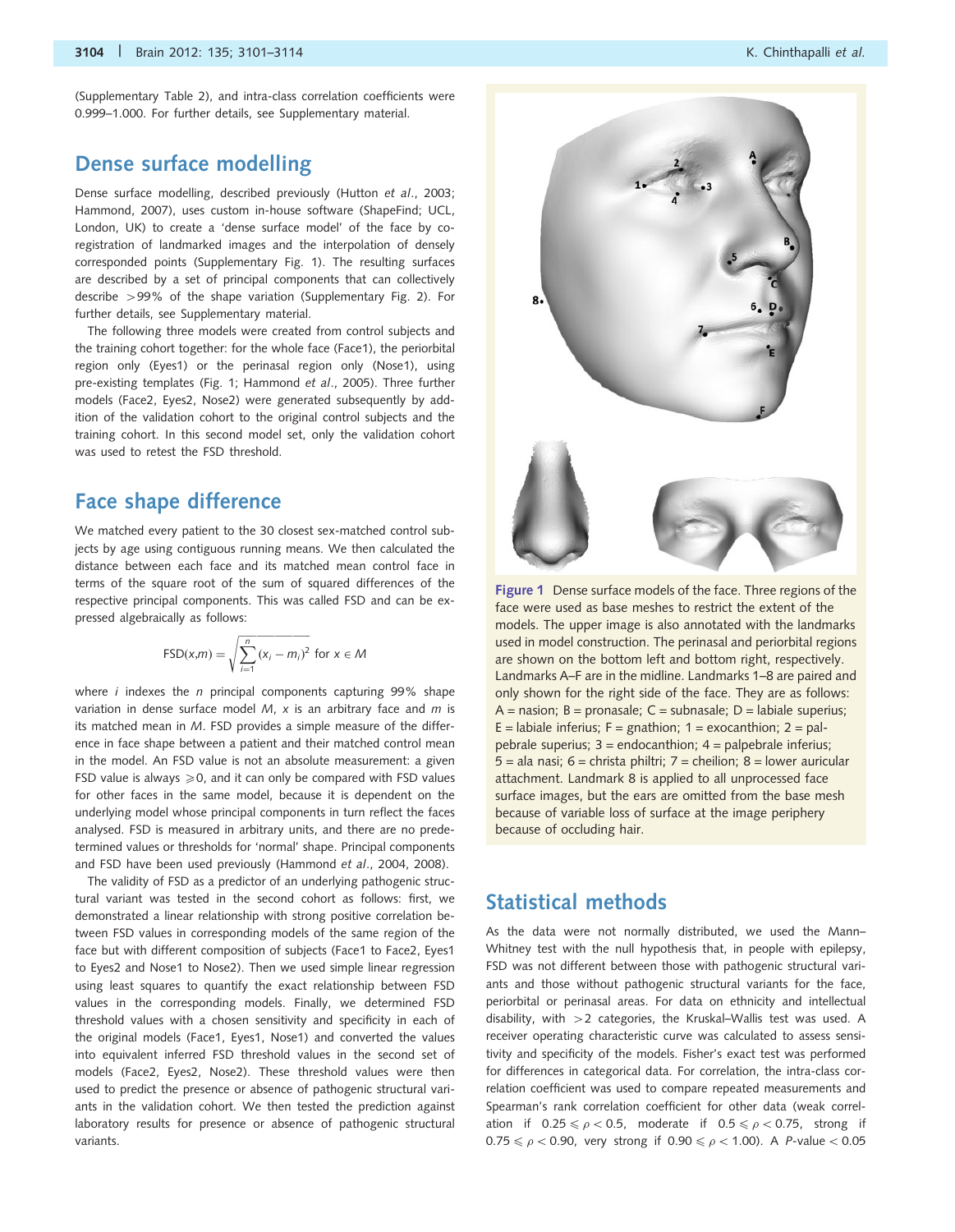([Supplementary Table 2\)](http://brain.oxfordjournals.org/cgi/content/full/aws232/DC1), and intra-class correlation coefficients were 0.999–1.000. For further details, see [Supplementary material](http://brain.oxfordjournals.org/cgi/content/full/aws232/DC1).

### Dense surface modelling

Dense surface modelling, described previously (Hutton et al[., 2003;](#page-12-0) [Hammond, 2007](#page-12-0)), uses custom in-house software (ShapeFind; UCL, London, UK) to create a 'dense surface model' of the face by coregistration of landmarked images and the interpolation of densely corresponded points [\(Supplementary Fig. 1](http://brain.oxfordjournals.org/cgi/content/full/aws232/DC1)). The resulting surfaces are described by a set of principal components that can collectively describe 499% of the shape variation ([Supplementary Fig. 2](http://brain.oxfordjournals.org/cgi/content/full/aws232/DC1)). For further details, see [Supplementary material.](http://brain.oxfordjournals.org/cgi/content/full/aws232/DC1)

The following three models were created from control subjects and the training cohort together: for the whole face (Face1), the periorbital region only (Eyes1) or the perinasal region only (Nose1), using pre-existing templates (Fig. 1; [Hammond](#page-12-0) et al., 2005). Three further models (Face2, Eyes2, Nose2) were generated subsequently by addition of the validation cohort to the original control subjects and the training cohort. In this second model set, only the validation cohort was used to retest the FSD threshold.

#### Face shape difference

We matched every patient to the 30 closest sex-matched control subjects by age using contiguous running means. We then calculated the distance between each face and its matched mean control face in terms of the square root of the sum of squared differences of the respective principal components. This was called FSD and can be expressed algebraically as follows:

$$
\text{FSD}(x,m) = \sqrt{\sum_{i=1}^{n} (x_i - m_i)^2} \text{ for } x \in M
$$

where  $i$  indexes the  $n$  principal components capturing 99% shape variation in dense surface model  $M$ , x is an arbitrary face and  $m$  is its matched mean in M. FSD provides a simple measure of the difference in face shape between a patient and their matched control mean in the model. An FSD value is not an absolute measurement: a given FSD value is always  $\ge 0$ , and it can only be compared with FSD values for other faces in the same model, because it is dependent on the underlying model whose principal components in turn reflect the faces analysed. FSD is measured in arbitrary units, and there are no predetermined values or thresholds for 'normal' shape. Principal components and FSD have been used previously ([Hammond](#page-12-0) et al., 2004, [2008\)](#page-12-0).

The validity of FSD as a predictor of an underlying pathogenic structural variant was tested in the second cohort as follows: first, we demonstrated a linear relationship with strong positive correlation between FSD values in corresponding models of the same region of the face but with different composition of subjects (Face1 to Face2, Eyes1 to Eyes2 and Nose1 to Nose2). Then we used simple linear regression using least squares to quantify the exact relationship between FSD values in the corresponding models. Finally, we determined FSD threshold values with a chosen sensitivity and specificity in each of the original models (Face1, Eyes1, Nose1) and converted the values into equivalent inferred FSD threshold values in the second set of models (Face2, Eyes2, Nose2). These threshold values were then used to predict the presence or absence of pathogenic structural variants in the validation cohort. We then tested the prediction against laboratory results for presence or absence of pathogenic structural variants.



Figure 1 Dense surface models of the face. Three regions of the face were used as base meshes to restrict the extent of the models. The upper image is also annotated with the landmarks used in model construction. The perinasal and periorbital regions are shown on the bottom left and bottom right, respectively. Landmarks A–F are in the midline. Landmarks 1–8 are paired and only shown for the right side of the face. They are as follows:  $A =$  nasion;  $B =$  pronasale;  $C =$  subnasale;  $D =$  labiale superius;  $E =$  labiale inferius;  $F =$  gnathion;  $1 =$  exocanthion;  $2 =$  palpebrale superius;  $3 =$  endocanthion;  $4 =$  palpebrale inferius;  $5 =$  ala nasi;  $6 =$  christa philtri;  $7 =$  cheilion;  $8 =$  lower auricular attachment. Landmark 8 is applied to all unprocessed face surface images, but the ears are omitted from the base mesh because of variable loss of surface at the image periphery because of occluding hair.

### Statistical methods

As the data were not normally distributed, we used the Mann– Whitney test with the null hypothesis that, in people with epilepsy, FSD was not different between those with pathogenic structural variants and those without pathogenic structural variants for the face, periorbital or perinasal areas. For data on ethnicity and intellectual disability, with  $>2$  categories, the Kruskal–Wallis test was used. A receiver operating characteristic curve was calculated to assess sensitivity and specificity of the models. Fisher's exact test was performed for differences in categorical data. For correlation, the intra-class correlation coefficient was used to compare repeated measurements and Spearman's rank correlation coefficient for other data (weak correlation if 0.25  $\leqslant$   $\rho$  < 0.5, moderate if 0.5  $\leqslant$   $\rho$  < 0.75, strong if  $0.75 \leq \rho < 0.90$ , very strong if  $0.90 \leq \rho < 1.00$ ). A P-value  $< 0.05$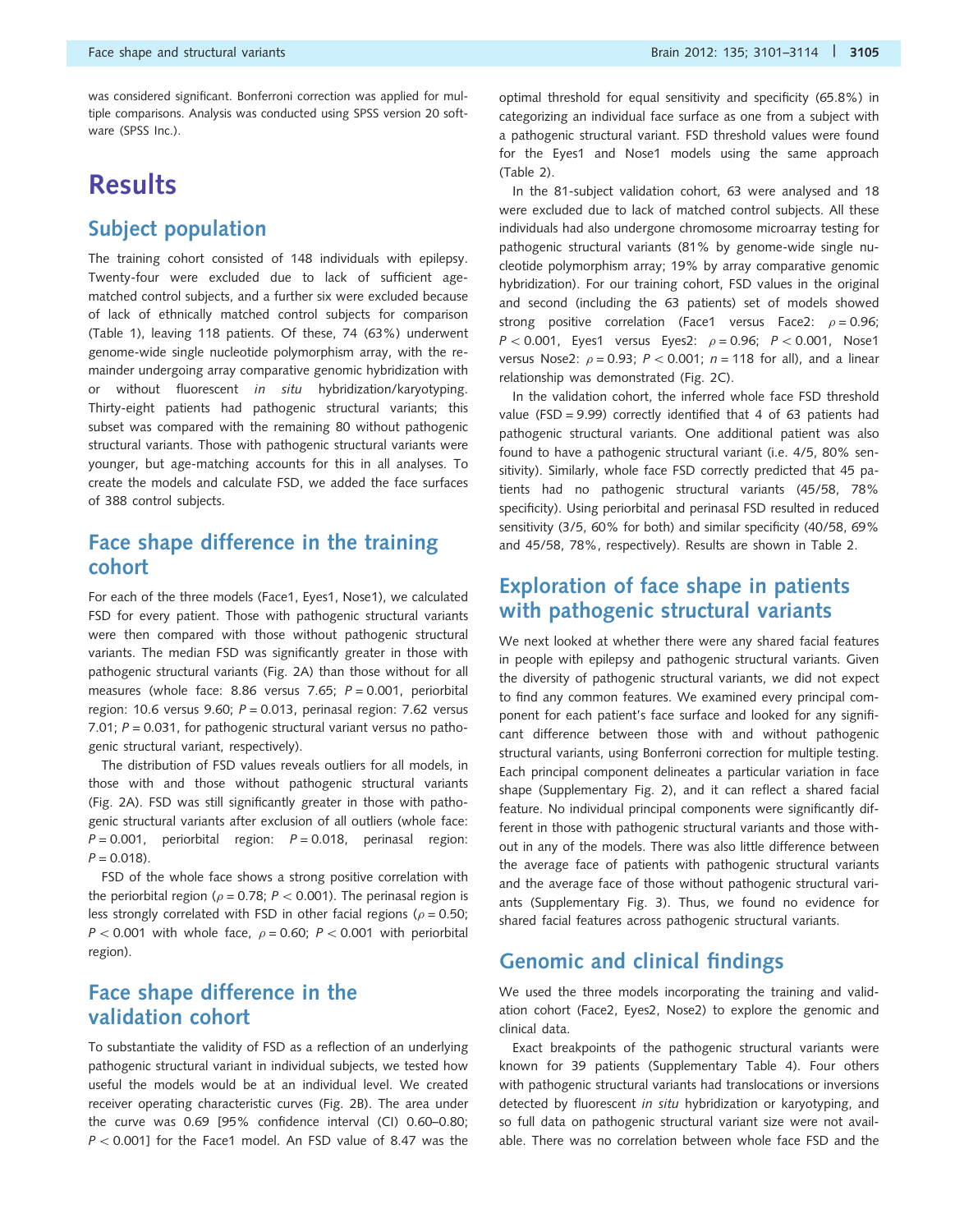was considered significant. Bonferroni correction was applied for multiple comparisons. Analysis was conducted using SPSS version 20 software (SPSS Inc.).

# **Results**

### Subject population

The training cohort consisted of 148 individuals with epilepsy. Twenty-four were excluded due to lack of sufficient agematched control subjects, and a further six were excluded because of lack of ethnically matched control subjects for comparison ([Table 1\)](#page-5-0), leaving 118 patients. Of these, 74 (63%) underwent genome-wide single nucleotide polymorphism array, with the remainder undergoing array comparative genomic hybridization with or without fluorescent in situ hybridization/karyotyping. Thirty-eight patients had pathogenic structural variants; this subset was compared with the remaining 80 without pathogenic structural variants. Those with pathogenic structural variants were younger, but age-matching accounts for this in all analyses. To create the models and calculate FSD, we added the face surfaces of 388 control subjects.

### Face shape difference in the training cohort

For each of the three models (Face1, Eyes1, Nose1), we calculated FSD for every patient. Those with pathogenic structural variants were then compared with those without pathogenic structural variants. The median FSD was significantly greater in those with pathogenic structural variants ([Fig. 2A](#page-6-0)) than those without for all measures (whole face: 8.86 versus 7.65;  $P = 0.001$ , periorbital region: 10.6 versus 9.60;  $P = 0.013$ , perinasal region: 7.62 versus 7.01;  $P = 0.031$ , for pathogenic structural variant versus no pathogenic structural variant, respectively).

The distribution of FSD values reveals outliers for all models, in those with and those without pathogenic structural variants ([Fig. 2](#page-6-0)A). FSD was still significantly greater in those with pathogenic structural variants after exclusion of all outliers (whole face:  $P = 0.001$ , periorbital region:  $P = 0.018$ , perinasal region:  $P = 0.018$ ).

FSD of the whole face shows a strong positive correlation with the periorbital region ( $\rho$  = 0.78; P < 0.001). The perinasal region is less strongly correlated with FSD in other facial regions ( $\rho$  = 0.50;  $P < 0.001$  with whole face,  $\rho = 0.60;$   $P < 0.001$  with periorbital region).

#### Face shape difference in the validation cohort

To substantiate the validity of FSD as a reflection of an underlying pathogenic structural variant in individual subjects, we tested how useful the models would be at an individual level. We created receiver operating characteristic curves ([Fig. 2](#page-6-0)B). The area under the curve was 0.69 [95% confidence interval (CI) 0.60–0.80;  $P < 0.001$ ] for the Face1 model. An FSD value of 8.47 was the optimal threshold for equal sensitivity and specificity (65.8%) in categorizing an individual face surface as one from a subject with a pathogenic structural variant. FSD threshold values were found for the Eyes1 and Nose1 models using the same approach [\(Table 2](#page-7-0)).

In the 81-subject validation cohort, 63 were analysed and 18 were excluded due to lack of matched control subjects. All these individuals had also undergone chromosome microarray testing for pathogenic structural variants (81% by genome-wide single nucleotide polymorphism array; 19% by array comparative genomic hybridization). For our training cohort, FSD values in the original and second (including the 63 patients) set of models showed strong positive correlation (Face1 versus Face2:  $\rho = 0.96$ ;  $P < 0.001$ , Eyes1 versus Eyes2:  $\rho = 0.96$ ;  $P < 0.001$ , Nose1 versus Nose2:  $\rho$  = 0.93;  $P <$  0.001;  $n$  = 118 for all), and a linear relationship was demonstrated [\(Fig. 2C](#page-6-0)).

In the validation cohort, the inferred whole face FSD threshold value (FSD = 9.99) correctly identified that 4 of 63 patients had pathogenic structural variants. One additional patient was also found to have a pathogenic structural variant (i.e. 4/5, 80% sensitivity). Similarly, whole face FSD correctly predicted that 45 patients had no pathogenic structural variants (45/58, 78% specificity). Using periorbital and perinasal FSD resulted in reduced sensitivity (3/5, 60% for both) and similar specificity (40/58, 69% and 45/58, 78%, respectively). Results are shown in [Table 2.](#page-7-0)

### Exploration of face shape in patients with pathogenic structural variants

We next looked at whether there were any shared facial features in people with epilepsy and pathogenic structural variants. Given the diversity of pathogenic structural variants, we did not expect to find any common features. We examined every principal component for each patient's face surface and looked for any significant difference between those with and without pathogenic structural variants, using Bonferroni correction for multiple testing. Each principal component delineates a particular variation in face shape ([Supplementary Fig. 2](http://brain.oxfordjournals.org/cgi/content/full/aws232/DC1)), and it can reflect a shared facial feature. No individual principal components were significantly different in those with pathogenic structural variants and those without in any of the models. There was also little difference between the average face of patients with pathogenic structural variants and the average face of those without pathogenic structural variants [\(Supplementary Fig. 3\)](http://brain.oxfordjournals.org/cgi/content/full/aws232/DC1). Thus, we found no evidence for shared facial features across pathogenic structural variants.

#### Genomic and clinical findings

We used the three models incorporating the training and validation cohort (Face2, Eyes2, Nose2) to explore the genomic and clinical data.

Exact breakpoints of the pathogenic structural variants were known for 39 patients [\(Supplementary Table 4](http://brain.oxfordjournals.org/cgi/content/full/aws232/DC1)). Four others with pathogenic structural variants had translocations or inversions detected by fluorescent in situ hybridization or karyotyping, and so full data on pathogenic structural variant size were not available. There was no correlation between whole face FSD and the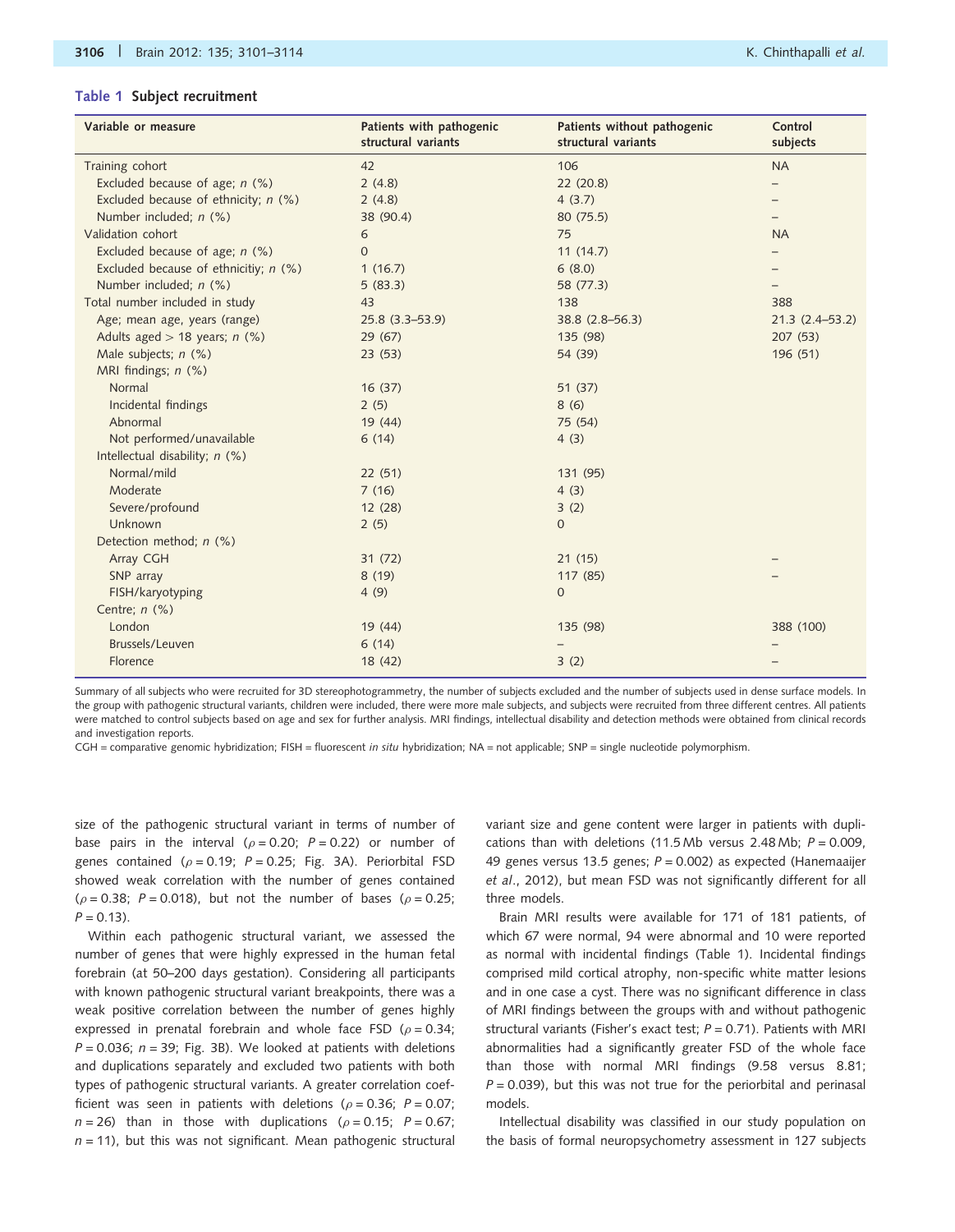#### <span id="page-5-0"></span>Table 1 Subject recruitment

| Variable or measure                     | Patients with pathogenic<br>structural variants | Patients without pathogenic<br>structural variants | Control<br>subjects |
|-----------------------------------------|-------------------------------------------------|----------------------------------------------------|---------------------|
| Training cohort                         | 42                                              | 106                                                | <b>NA</b>           |
| Excluded because of age; $n$ (%)        | 2(4.8)                                          | 22 (20.8)                                          |                     |
| Excluded because of ethnicity; $n$ (%)  | 2(4.8)                                          | 4(3.7)                                             |                     |
| Number included; $n$ (%)                | 38 (90.4)                                       | 80 (75.5)                                          |                     |
| Validation cohort                       | 6                                               | 75                                                 | <b>NA</b>           |
| Excluded because of age; $n$ (%)        | $\mathbf{0}$                                    | 11(14.7)                                           |                     |
| Excluded because of ethnicitiy; $n$ (%) | 1(16.7)                                         | 6(8.0)                                             |                     |
| Number included; $n$ (%)                | 5(83.3)                                         | 58 (77.3)                                          |                     |
| Total number included in study          | 43                                              | 138                                                | 388                 |
| Age; mean age, years (range)            | 25.8 (3.3-53.9)                                 | 38.8 (2.8-56.3)                                    | $21.3(2.4 - 53.2)$  |
| Adults aged $>$ 18 years; n (%)         | 29(67)                                          | 135 (98)                                           | 207 (53)            |
| Male subjects; $n$ (%)                  | 23(53)                                          | 54 (39)                                            | 196 (51)            |
| MRI findings; $n$ (%)                   |                                                 |                                                    |                     |
| Normal                                  | 16(37)                                          | 51 (37)                                            |                     |
| Incidental findings                     | 2(5)                                            | 8(6)                                               |                     |
| Abnormal                                | 19 (44)                                         | 75 (54)                                            |                     |
| Not performed/unavailable               | 6(14)                                           | 4(3)                                               |                     |
| Intellectual disability; n (%)          |                                                 |                                                    |                     |
| Normal/mild                             | 22(51)                                          | 131 (95)                                           |                     |
| Moderate                                | 7(16)                                           | 4(3)                                               |                     |
| Severe/profound                         | 12 (28)                                         | 3(2)                                               |                     |
| Unknown                                 | 2(5)                                            | $\overline{0}$                                     |                     |
| Detection method; $n$ (%)               |                                                 |                                                    |                     |
| Array CGH                               | 31(72)                                          | 21(15)                                             |                     |
| SNP array                               | 8(19)                                           | 117 (85)                                           |                     |
| FISH/karyotyping                        | 4(9)                                            | $\mathbf 0$                                        |                     |
| Centre; $n$ (%)                         |                                                 |                                                    |                     |
| London                                  | 19 (44)                                         | 135 (98)                                           | 388 (100)           |
| Brussels/Leuven                         | 6(14)                                           |                                                    |                     |
| Florence                                | 18 (42)                                         | 3(2)                                               |                     |

Summary of all subjects who were recruited for 3D stereophotogrammetry, the number of subjects excluded and the number of subjects used in dense surface models. In the group with pathogenic structural variants, children were included, there were more male subjects, and subjects were recruited from three different centres. All patients were matched to control subjects based on age and sex for further analysis. MRI findings, intellectual disability and detection methods were obtained from clinical records and investigation reports.

CGH = comparative genomic hybridization; FISH = fluorescent in situ hybridization; NA = not applicable; SNP = single nucleotide polymorphism.

size of the pathogenic structural variant in terms of number of base pairs in the interval ( $\rho = 0.20$ ; P = 0.22) or number of genes contained ( $\rho = 0.19$ ;  $P = 0.25$ ; [Fig. 3](#page-8-0)A). Periorbital FSD showed weak correlation with the number of genes contained  $(\rho = 0.38; P = 0.018)$ , but not the number of bases ( $\rho = 0.25$ ;  $P = 0.13$ .

Within each pathogenic structural variant, we assessed the number of genes that were highly expressed in the human fetal forebrain (at 50–200 days gestation). Considering all participants with known pathogenic structural variant breakpoints, there was a weak positive correlation between the number of genes highly expressed in prenatal forebrain and whole face FSD ( $\rho = 0.34$ ;  $P = 0.036$ ;  $n = 39$ ; [Fig. 3B](#page-8-0)). We looked at patients with deletions and duplications separately and excluded two patients with both types of pathogenic structural variants. A greater correlation coefficient was seen in patients with deletions ( $\rho = 0.36$ ; P = 0.07;  $n = 26$ ) than in those with duplications ( $\rho = 0.15$ ; P = 0.67;  $n = 11$ ), but this was not significant. Mean pathogenic structural variant size and gene content were larger in patients with duplications than with deletions (11.5 Mb versus 2.48 Mb;  $P = 0.009$ , 49 genes versus 13.5 genes;  $P = 0.002$ ) as expected [\(Hanemaaijer](#page-12-0) et al[., 2012\)](#page-12-0), but mean FSD was not significantly different for all three models.

Brain MRI results were available for 171 of 181 patients, of which 67 were normal, 94 were abnormal and 10 were reported as normal with incidental findings (Table 1). Incidental findings comprised mild cortical atrophy, non-specific white matter lesions and in one case a cyst. There was no significant difference in class of MRI findings between the groups with and without pathogenic structural variants (Fisher's exact test;  $P = 0.71$ ). Patients with MRI abnormalities had a significantly greater FSD of the whole face than those with normal MRI findings (9.58 versus 8.81;  $P = 0.039$ ), but this was not true for the periorbital and perinasal models.

Intellectual disability was classified in our study population on the basis of formal neuropsychometry assessment in 127 subjects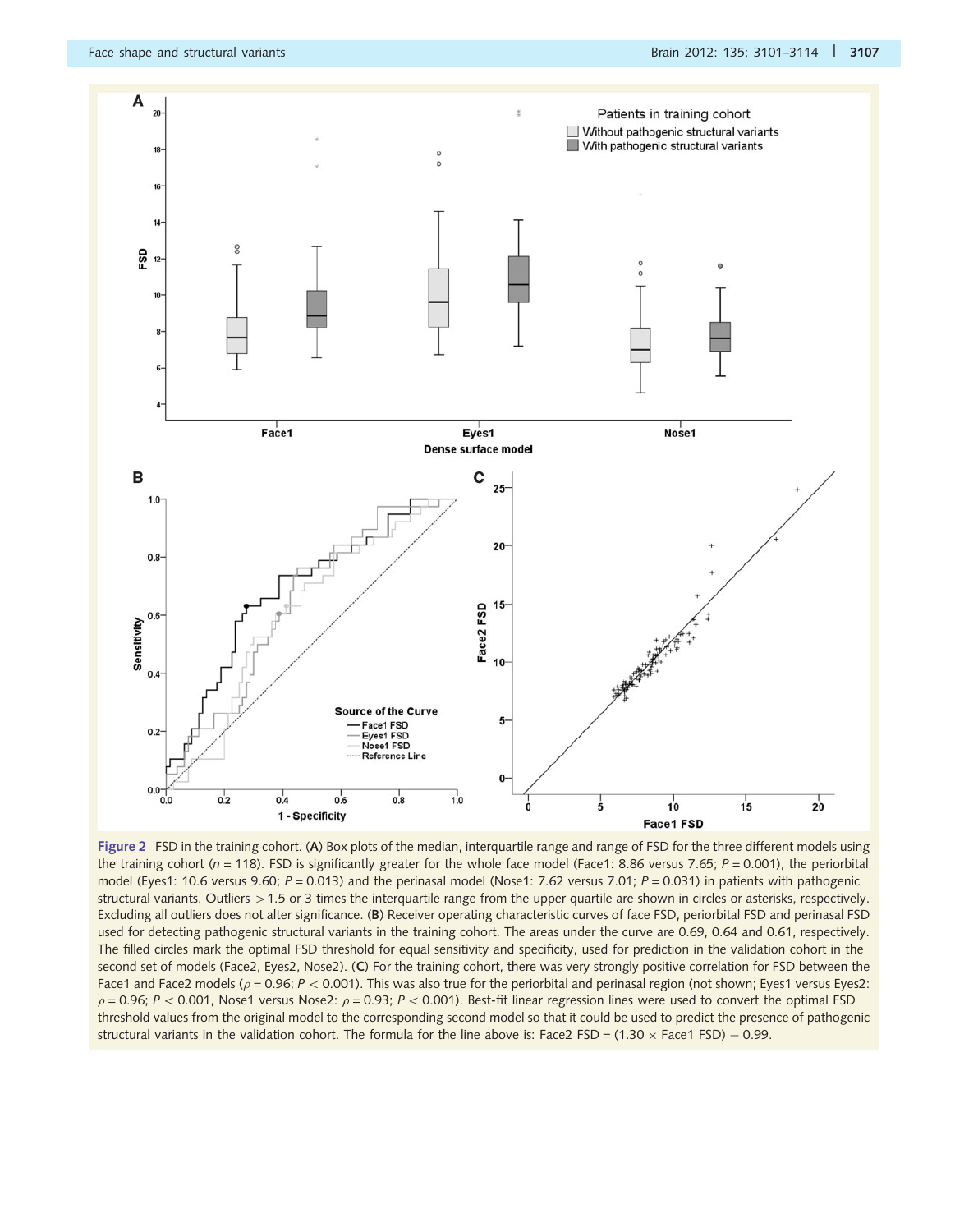<span id="page-6-0"></span>

Figure 2 FSD in the training cohort. (A) Box plots of the median, interquartile range and range of FSD for the three different models using the training cohort ( $n = 118$ ). FSD is significantly greater for the whole face model (Face1: 8.86 versus 7.65;  $P = 0.001$ ), the periorbital model (Eyes1: 10.6 versus 9.60;  $P = 0.013$ ) and the perinasal model (Nose1: 7.62 versus 7.01;  $P = 0.031$ ) in patients with pathogenic structural variants. Outliers > 1.5 or 3 times the interquartile range from the upper quartile are shown in circles or asterisks, respectively. Excluding all outliers does not alter significance. (B) Receiver operating characteristic curves of face FSD, periorbital FSD and perinasal FSD used for detecting pathogenic structural variants in the training cohort. The areas under the curve are 0.69, 0.64 and 0.61, respectively. The filled circles mark the optimal FSD threshold for equal sensitivity and specificity, used for prediction in the validation cohort in the second set of models (Face2, Eyes2, Nose2). (C) For the training cohort, there was very strongly positive correlation for FSD between the Face1 and Face2 models ( $\rho$  = 0.96; P < 0.001). This was also true for the periorbital and perinasal region (not shown; Eyes1 versus Eyes2:  $\rho$  = 0.96; P < 0.001, Nose1 versus Nose2:  $\rho$  = 0.93; P < 0.001). Best-fit linear regression lines were used to convert the optimal FSD threshold values from the original model to the corresponding second model so that it could be used to predict the presence of pathogenic structural variants in the validation cohort. The formula for the line above is: Face2 FSD =  $(1.30 \times$  Face1 FSD) – 0.99.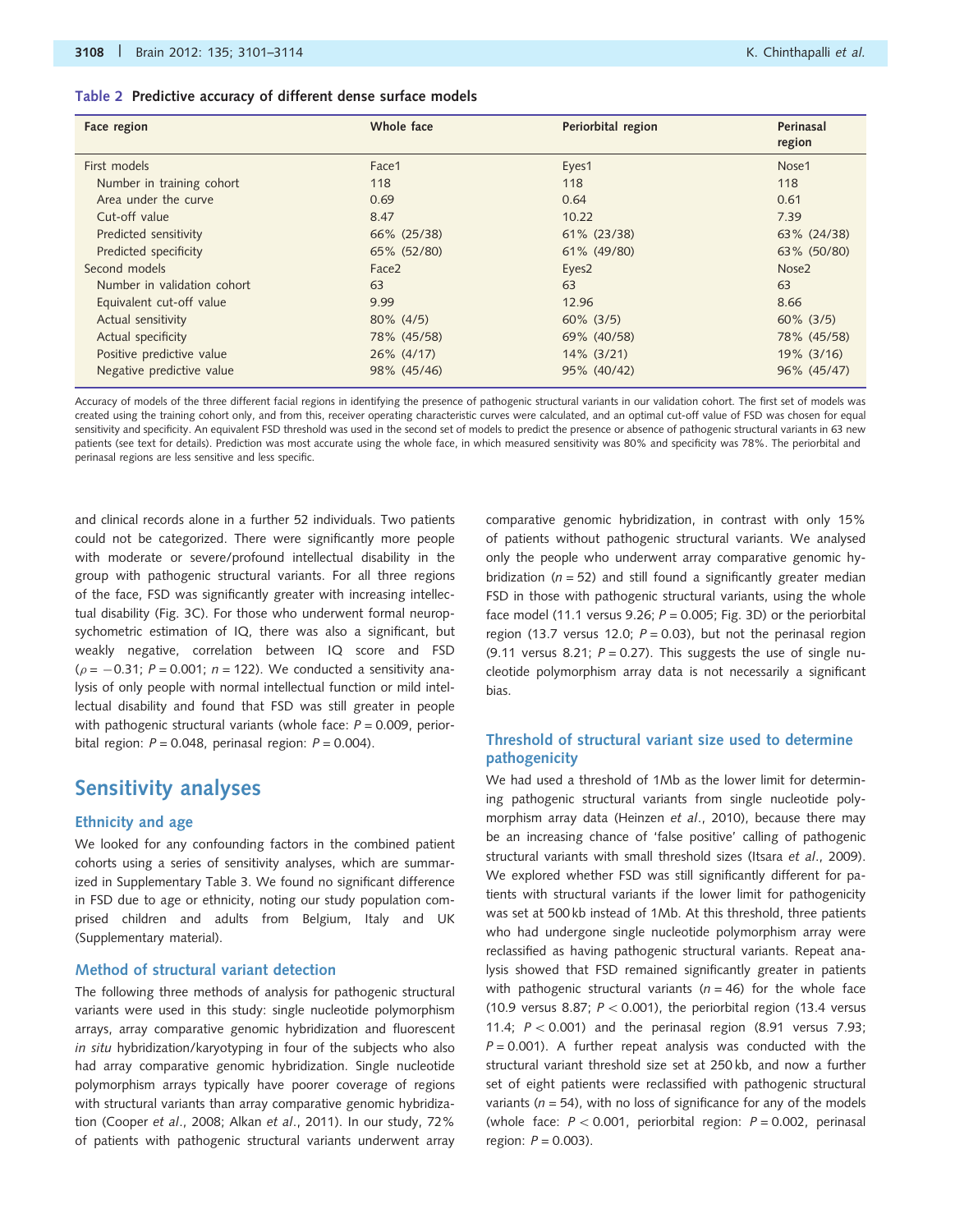<span id="page-7-0"></span>

|  |  | Table 2 Predictive accuracy of different dense surface models |  |  |  |  |  |  |  |  |
|--|--|---------------------------------------------------------------|--|--|--|--|--|--|--|--|
|--|--|---------------------------------------------------------------|--|--|--|--|--|--|--|--|

| Face region                 | Whole face        | Periorbital region | Perinasal<br>region |
|-----------------------------|-------------------|--------------------|---------------------|
| First models                | Face1             | Eyes1              | Nose1               |
| Number in training cohort   | 118               | 118                | 118                 |
| Area under the curve        | 0.69              | 0.64               | 0.61                |
| Cut-off value               | 8.47              | 10.22              | 7.39                |
| Predicted sensitivity       | 66% (25/38)       | 61% (23/38)        | 63% (24/38)         |
| Predicted specificity       | 65% (52/80)       | 61% (49/80)        | 63% (50/80)         |
| Second models               | Face <sub>2</sub> | Eyes2              | Nose <sub>2</sub>   |
| Number in validation cohort | 63                | 63                 | 63                  |
| Equivalent cut-off value    | 9.99              | 12.96              | 8.66                |
| Actual sensitivity          | 80% (4/5)         | $60\%$ (3/5)       | $60\%$ (3/5)        |
| Actual specificity          | 78% (45/58)       | 69% (40/58)        | 78% (45/58)         |
| Positive predictive value   | 26% (4/17)        | 14% (3/21)         | 19% (3/16)          |
| Negative predictive value   | 98% (45/46)       | 95% (40/42)        | 96% (45/47)         |

Accuracy of models of the three different facial regions in identifying the presence of pathogenic structural variants in our validation cohort. The first set of models was created using the training cohort only, and from this, receiver operating characteristic curves were calculated, and an optimal cut-off value of FSD was chosen for equal sensitivity and specificity. An equivalent FSD threshold was used in the second set of models to predict the presence or absence of pathogenic structural variants in 63 new patients (see text for details). Prediction was most accurate using the whole face, in which measured sensitivity was 80% and specificity was 78%. The periorbital and perinasal regions are less sensitive and less specific.

and clinical records alone in a further 52 individuals. Two patients could not be categorized. There were significantly more people with moderate or severe/profound intellectual disability in the group with pathogenic structural variants. For all three regions of the face, FSD was significantly greater with increasing intellectual disability [\(Fig. 3](#page-8-0)C). For those who underwent formal neuropsychometric estimation of IQ, there was also a significant, but weakly negative, correlation between IQ score and FSD  $(\rho = -0.31; P = 0.001; n = 122)$ . We conducted a sensitivity analysis of only people with normal intellectual function or mild intellectual disability and found that FSD was still greater in people with pathogenic structural variants (whole face:  $P = 0.009$ , periorbital region:  $P = 0.048$ , perinasal region:  $P = 0.004$ ).

#### Sensitivity analyses

#### Ethnicity and age

We looked for any confounding factors in the combined patient cohorts using a series of sensitivity analyses, which are summarized in [Supplementary Table 3](http://brain.oxfordjournals.org/cgi/content/full/aws232/DC1). We found no significant difference in FSD due to age or ethnicity, noting our study population comprised children and adults from Belgium, Italy and UK [\(Supplementary material\)](http://brain.oxfordjournals.org/cgi/content/full/aws232/DC1).

#### Method of structural variant detection

The following three methods of analysis for pathogenic structural variants were used in this study: single nucleotide polymorphism arrays, array comparative genomic hybridization and fluorescent in situ hybridization/karyotyping in four of the subjects who also had array comparative genomic hybridization. Single nucleotide polymorphism arrays typically have poorer coverage of regions with structural variants than array comparative genomic hybridization [\(Cooper](#page-11-0) et al., 2008; Alkan et al[., 2011\)](#page-11-0). In our study, 72% of patients with pathogenic structural variants underwent array

comparative genomic hybridization, in contrast with only 15% of patients without pathogenic structural variants. We analysed only the people who underwent array comparative genomic hybridization ( $n = 52$ ) and still found a significantly greater median FSD in those with pathogenic structural variants, using the whole face model (11.1 versus 9.26;  $P = 0.005$ ; [Fig. 3D](#page-8-0)) or the periorbital region (13.7 versus 12.0;  $P = 0.03$ ), but not the perinasal region (9.11 versus 8.21;  $P = 0.27$ ). This suggests the use of single nucleotide polymorphism array data is not necessarily a significant bias.

#### Threshold of structural variant size used to determine pathogenicity

We had used a threshold of 1Mb as the lower limit for determining pathogenic structural variants from single nucleotide polymorphism array data (Heinzen et al[., 2010\),](#page-12-0) because there may be an increasing chance of 'false positive' calling of pathogenic structural variants with small threshold sizes (Itsara et al[., 2009\)](#page-12-0). We explored whether FSD was still significantly different for patients with structural variants if the lower limit for pathogenicity was set at 500 kb instead of 1Mb. At this threshold, three patients who had undergone single nucleotide polymorphism array were reclassified as having pathogenic structural variants. Repeat analysis showed that FSD remained significantly greater in patients with pathogenic structural variants ( $n = 46$ ) for the whole face (10.9 versus 8.87;  $P < 0.001$ ), the periorbital region (13.4 versus 11.4;  $P < 0.001$ ) and the perinasal region (8.91 versus 7.93;  $P = 0.001$ ). A further repeat analysis was conducted with the structural variant threshold size set at 250 kb, and now a further set of eight patients were reclassified with pathogenic structural variants ( $n = 54$ ), with no loss of significance for any of the models (whole face:  $P < 0.001$ , periorbital region:  $P = 0.002$ , perinasal region:  $P = 0.003$ ).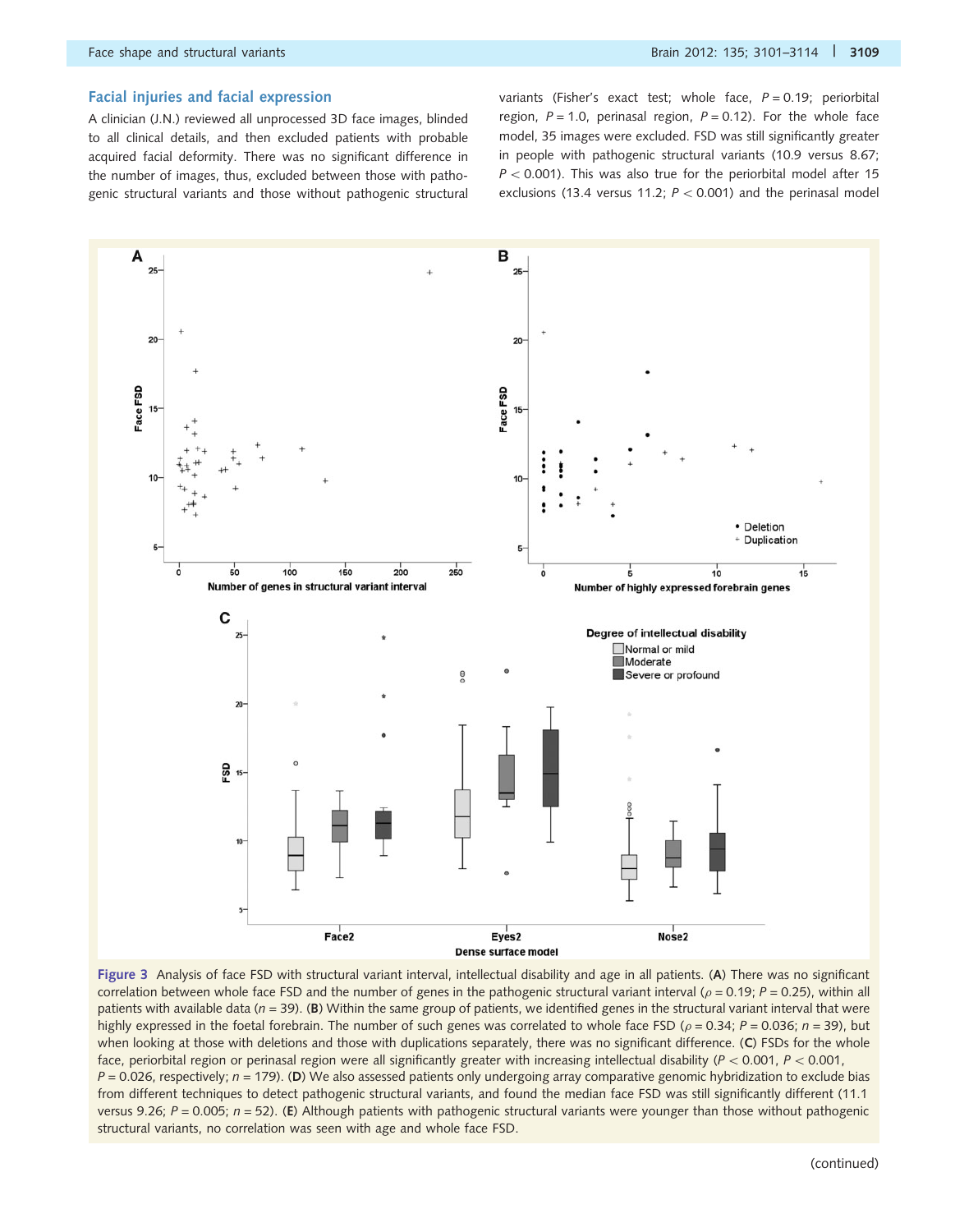#### <span id="page-8-0"></span>Facial injuries and facial expression

A clinician (J.N.) reviewed all unprocessed 3D face images, blinded to all clinical details, and then excluded patients with probable acquired facial deformity. There was no significant difference in the number of images, thus, excluded between those with pathogenic structural variants and those without pathogenic structural variants (Fisher's exact test; whole face,  $P = 0.19$ ; periorbital region,  $P = 1.0$ , perinasal region,  $P = 0.12$ ). For the whole face model, 35 images were excluded. FSD was still significantly greater in people with pathogenic structural variants (10.9 versus 8.67;  $P < 0.001$ ). This was also true for the periorbital model after 15 exclusions (13.4 versus 11.2;  $P < 0.001$ ) and the perinasal model



Figure 3 Analysis of face FSD with structural variant interval, intellectual disability and age in all patients. (A) There was no significant correlation between whole face FSD and the number of genes in the pathogenic structural variant interval ( $\rho$  = 0.19;  $P$  = 0.25), within all patients with available data ( $n = 39$ ). (B) Within the same group of patients, we identified genes in the structural variant interval that were highly expressed in the foetal forebrain. The number of such genes was correlated to whole face FSD ( $\rho$  = 0.34; P = 0.036; n = 39), but when looking at those with deletions and those with duplications separately, there was no significant difference. (C) FSDs for the whole face, periorbital region or perinasal region were all significantly greater with increasing intellectual disability ( $P < 0.001$ ,  $P < 0.001$ ,  $P = 0.026$ , respectively;  $n = 179$ ). (D) We also assessed patients only undergoing array comparative genomic hybridization to exclude bias from different techniques to detect pathogenic structural variants, and found the median face FSD was still significantly different (11.1 versus 9.26;  $P = 0.005$ ;  $n = 52$ ). (E) Although patients with pathogenic structural variants were younger than those without pathogenic structural variants, no correlation was seen with age and whole face FSD.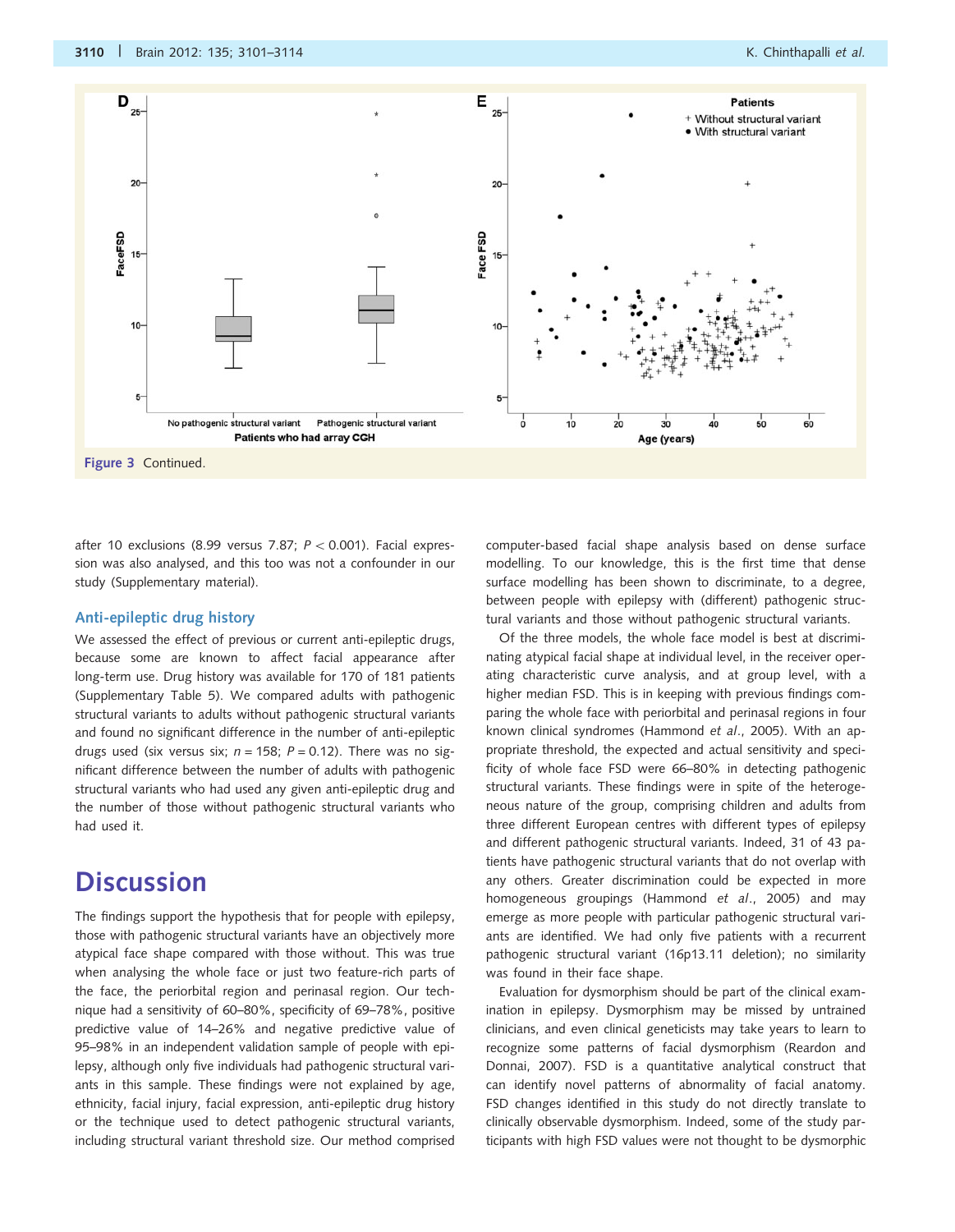

after 10 exclusions (8.99 versus 7.87;  $P < 0.001$ ). Facial expression was also analysed, and this too was not a confounder in our study [\(Supplementary material\)](http://brain.oxfordjournals.org/cgi/content/full/aws232/DC1).

#### Anti-epileptic drug history

We assessed the effect of previous or current anti-epileptic drugs, because some are known to affect facial appearance after long-term use. Drug history was available for 170 of 181 patients [\(Supplementary Table 5\)](http://brain.oxfordjournals.org/cgi/content/full/aws232/DC1). We compared adults with pathogenic structural variants to adults without pathogenic structural variants and found no significant difference in the number of anti-epileptic drugs used (six versus six;  $n = 158$ ;  $P = 0.12$ ). There was no significant difference between the number of adults with pathogenic structural variants who had used any given anti-epileptic drug and the number of those without pathogenic structural variants who had used it.

# **Discussion**

The findings support the hypothesis that for people with epilepsy, those with pathogenic structural variants have an objectively more atypical face shape compared with those without. This was true when analysing the whole face or just two feature-rich parts of the face, the periorbital region and perinasal region. Our technique had a sensitivity of 60–80%, specificity of 69–78%, positive predictive value of 14–26% and negative predictive value of 95–98% in an independent validation sample of people with epilepsy, although only five individuals had pathogenic structural variants in this sample. These findings were not explained by age, ethnicity, facial injury, facial expression, anti-epileptic drug history or the technique used to detect pathogenic structural variants, including structural variant threshold size. Our method comprised

computer-based facial shape analysis based on dense surface modelling. To our knowledge, this is the first time that dense surface modelling has been shown to discriminate, to a degree, between people with epilepsy with (different) pathogenic structural variants and those without pathogenic structural variants.

Of the three models, the whole face model is best at discriminating atypical facial shape at individual level, in the receiver operating characteristic curve analysis, and at group level, with a higher median FSD. This is in keeping with previous findings comparing the whole face with periorbital and perinasal regions in four known clinical syndromes ([Hammond](#page-12-0) et al., 2005). With an appropriate threshold, the expected and actual sensitivity and specificity of whole face FSD were 66–80% in detecting pathogenic structural variants. These findings were in spite of the heterogeneous nature of the group, comprising children and adults from three different European centres with different types of epilepsy and different pathogenic structural variants. Indeed, 31 of 43 patients have pathogenic structural variants that do not overlap with any others. Greater discrimination could be expected in more homogeneous groupings ([Hammond](#page-12-0) et al., 2005) and may emerge as more people with particular pathogenic structural variants are identified. We had only five patients with a recurrent pathogenic structural variant (16p13.11 deletion); no similarity was found in their face shape.

Evaluation for dysmorphism should be part of the clinical examination in epilepsy. Dysmorphism may be missed by untrained clinicians, and even clinical geneticists may take years to learn to recognize some patterns of facial dysmorphism [\(Reardon and](#page-12-0) [Donnai, 2007\)](#page-12-0). FSD is a quantitative analytical construct that can identify novel patterns of abnormality of facial anatomy. FSD changes identified in this study do not directly translate to clinically observable dysmorphism. Indeed, some of the study participants with high FSD values were not thought to be dysmorphic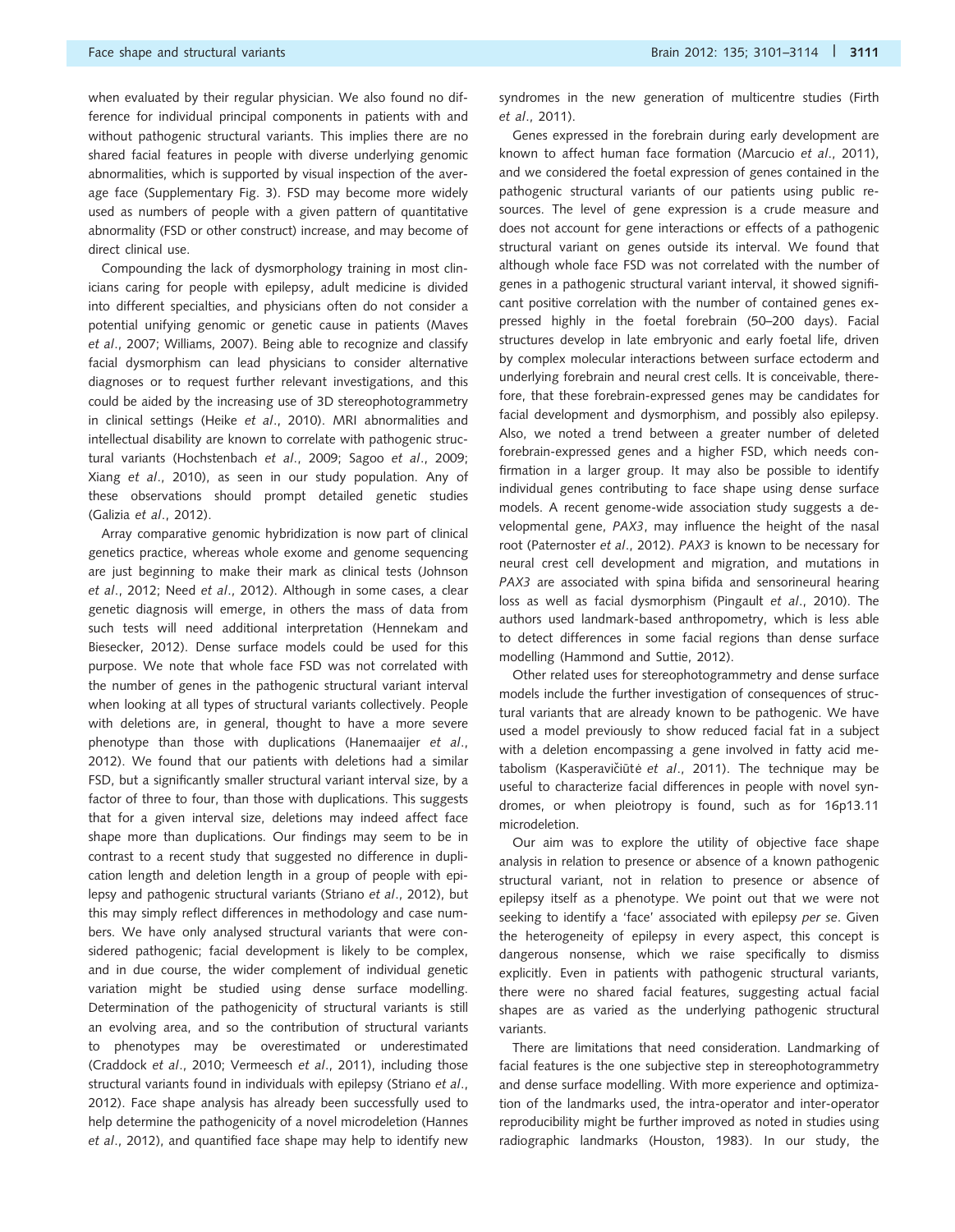when evaluated by their regular physician. We also found no difference for individual principal components in patients with and without pathogenic structural variants. This implies there are no shared facial features in people with diverse underlying genomic abnormalities, which is supported by visual inspection of the average face [\(Supplementary Fig. 3](http://brain.oxfordjournals.org/cgi/content/full/aws232/DC1)). FSD may become more widely used as numbers of people with a given pattern of quantitative abnormality (FSD or other construct) increase, and may become of direct clinical use.

Compounding the lack of dysmorphology training in most clinicians caring for people with epilepsy, adult medicine is divided into different specialties, and physicians often do not consider a potential unifying genomic or genetic cause in patients ([Maves](#page-12-0) et al[., 2007](#page-12-0); [Williams, 2007](#page-13-0)). Being able to recognize and classify facial dysmorphism can lead physicians to consider alternative diagnoses or to request further relevant investigations, and this could be aided by the increasing use of 3D stereophotogrammetry in clinical settings (Heike et al[., 2010\)](#page-12-0). MRI abnormalities and intellectual disability are known to correlate with pathogenic structural variants ([Hochstenbach](#page-12-0) et al., 2009; Sagoo et al[., 2009](#page-13-0); Xiang et al[., 2010\)](#page-13-0), as seen in our study population. Any of these observations should prompt detailed genetic studies (Galizia et al[., 2012\)](#page-12-0).

Array comparative genomic hybridization is now part of clinical genetics practice, whereas whole exome and genome sequencing are just beginning to make their mark as clinical tests [\(Johnson](#page-12-0) et al[., 2012;](#page-12-0) Need et al[., 2012](#page-12-0)). Although in some cases, a clear genetic diagnosis will emerge, in others the mass of data from such tests will need additional interpretation ([Hennekam and](#page-12-0) [Biesecker, 2012\)](#page-12-0). Dense surface models could be used for this purpose. We note that whole face FSD was not correlated with the number of genes in the pathogenic structural variant interval when looking at all types of structural variants collectively. People with deletions are, in general, thought to have a more severe phenotype than those with duplications [\(Hanemaaijer](#page-12-0) et al., [2012](#page-12-0)). We found that our patients with deletions had a similar FSD, but a significantly smaller structural variant interval size, by a factor of three to four, than those with duplications. This suggests that for a given interval size, deletions may indeed affect face shape more than duplications. Our findings may seem to be in contrast to a recent study that suggested no difference in duplication length and deletion length in a group of people with epilepsy and pathogenic structural variants ([Striano](#page-13-0) et al., 201[2](#page-13-0)), but this may simply reflect differences in methodology and case numbers. We have only analysed structural variants that were considered pathogenic; facial development is likely to be complex, and in due course, the wider complement of individual genetic variation might be studied using dense surface modelling. Determination of the pathogenicity of structural variants is still an evolving area, and so the contribution of structural variants to phenotypes may be overestimated or underestimated ([Craddock](#page-12-0) et al., 2010; [Vermeesch](#page-13-0) et al., 2011), including those structural variants found in individuals with epilepsy [\(Striano](#page-13-0) et al., [2012](#page-13-0)). Face shape analysis has already been successfully used to help determine the pathogenicity of a novel microdeletion [\(Hannes](#page-12-0) et al[., 2012\),](#page-12-0) and quantified face shape may help to identify new

syndromes in the new generation of multicentre studies [\(Firth](#page-12-0) et al[., 2011](#page-12-0)).

Genes expressed in the forebrain during early development are known to affect human face formation [\(Marcucio](#page-12-0) et al., 201[1\),](#page-12-0) and we considered the foetal expression of genes contained in the pathogenic structural variants of our patients using public resources. The level of gene expression is a crude measure and does not account for gene interactions or effects of a pathogenic structural variant on genes outside its interval. We found that although whole face FSD was not correlated with the number of genes in a pathogenic structural variant interval, it showed significant positive correlation with the number of contained genes expressed highly in the foetal forebrain (50–200 days). Facial structures develop in late embryonic and early foetal life, driven by complex molecular interactions between surface ectoderm and underlying forebrain and neural crest cells. It is conceivable, therefore, that these forebrain-expressed genes may be candidates for facial development and dysmorphism, and possibly also epilepsy. Also, we noted a trend between a greater number of deleted forebrain-expressed genes and a higher FSD, which needs confirmation in a larger group. It may also be possible to identify individual genes contributing to face shape using dense surface models. A recent genome-wide association study suggests a developmental gene, PAX3, may influence the height of the nasal root [\(Paternoster](#page-12-0) et al., 2012). PAX3 is known to be necessary for neural crest cell development and migration, and mutations in PAX3 are associated with spina bifida and sensorineural hearing loss as well as facial dysmorphism ([Pingault](#page-12-0) et al., 2010). The authors used landmark-based anthropometry, which is less able to detect differences in some facial regions than dense surface modelling [\(Hammond and Suttie, 2012](#page-12-0)).

Other related uses for stereophotogrammetry and dense surface models include the further investigation of consequences of structural variants that are already known to be pathogenic. We have used a model previously to show reduced facial fat in a subject with a deletion encompassing a gene involved in fatty acid me-tabolism (Kasperavičiūtė et al[., 2011\)](#page-12-0). The technique may be useful to characterize facial differences in people with novel syndromes, or when pleiotropy is found, such as for 16p13.11 microdeletion.

Our aim was to explore the utility of objective face shape analysis in relation to presence or absence of a known pathogenic structural variant, not in relation to presence or absence of epilepsy itself as a phenotype. We point out that we were not seeking to identify a 'face' associated with epilepsy per se. Given the heterogeneity of epilepsy in every aspect, this concept is dangerous nonsense, which we raise specifically to dismiss explicitly. Even in patients with pathogenic structural variants, there were no shared facial features, suggesting actual facial shapes are as varied as the underlying pathogenic structural variants.

There are limitations that need consideration. Landmarking of facial features is the one subjective step in stereophotogrammetry and dense surface modelling. With more experience and optimization of the landmarks used, the intra-operator and inter-operator reproducibility might be further improved as noted in studies using radiographic landmarks [\(Houston, 1983](#page-12-0)). In our study, the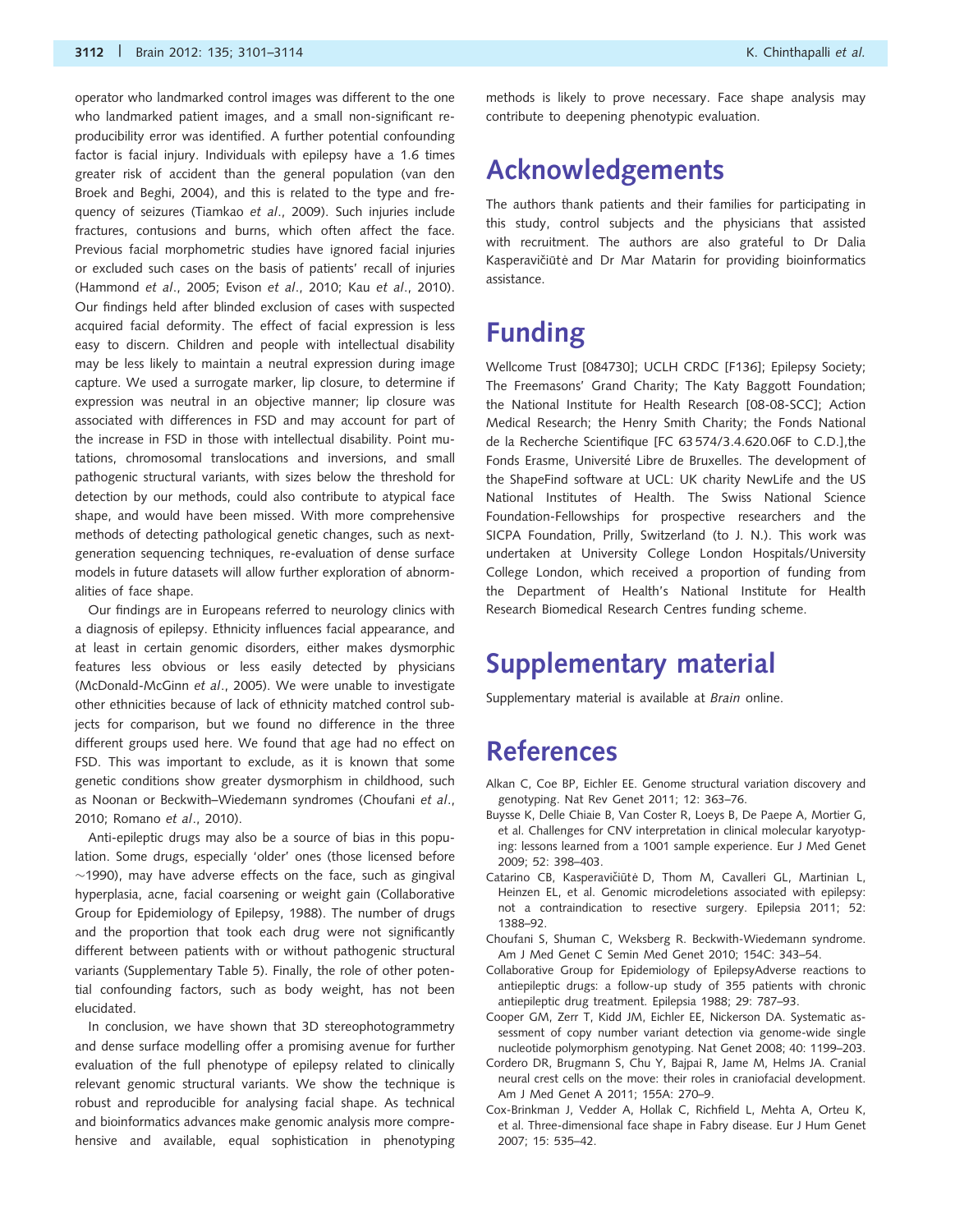<span id="page-11-0"></span>operator who landmarked control images was different to the one who landmarked patient images, and a small non-significant reproducibility error was identified. A further potential confounding factor is facial injury. Individuals with epilepsy have a 1.6 times greater risk of accident than the general population [\(van den](#page-13-0) [Broek and Beghi, 2004\),](#page-13-0) and this is related to the type and frequency of seizures [\(Tiamkao](#page-13-0) et al., 2009). Such injuries include fractures, contusions and burns, which often affect the face. Previous facial morphometric studies have ignored facial injuries or excluded such cases on the basis of patients' recall of injuries [\(Hammond](#page-12-0) et al., 2005; Evison et al[., 2010](#page-12-0); Kau et al[., 2010\)](#page-12-0). Our findings held after blinded exclusion of cases with suspected acquired facial deformity. The effect of facial expression is less easy to discern. Children and people with intellectual disability may be less likely to maintain a neutral expression during image capture. We used a surrogate marker, lip closure, to determine if expression was neutral in an objective manner; lip closure was associated with differences in FSD and may account for part of the increase in FSD in those with intellectual disability. Point mutations, chromosomal translocations and inversions, and small pathogenic structural variants, with sizes below the threshold for detection by our methods, could also contribute to atypical face shape, and would have been missed. With more comprehensive methods of detecting pathological genetic changes, such as nextgeneration sequencing techniques, re-evaluation of dense surface models in future datasets will allow further exploration of abnormalities of face shape.

Our findings are in Europeans referred to neurology clinics with a diagnosis of epilepsy. Ethnicity influences facial appearance, and at least in certain genomic disorders, either makes dysmorphic features less obvious or less easily detected by physicians [\(McDonald-McGinn](#page-12-0) et al., 2005). We were unable to investigate other ethnicities because of lack of ethnicity matched control subjects for comparison, but we found no difference in the three different groups used here. We found that age had no effect on FSD. This was important to exclude, as it is known that some genetic conditions show greater dysmorphism in childhood, such as Noonan or Beckwith–Wiedemann syndromes (Choufani et al., 2010; [Romano](#page-12-0) et al., 2010).

Anti-epileptic drugs may also be a source of bias in this population. Some drugs, especially 'older' ones (those licensed before  $\sim$ 1990), may have adverse effects on the face, such as gingival hyperplasia, acne, facial coarsening or weight gain (Collaborative Group for Epidemiology of Epilepsy, 1988). The number of drugs and the proportion that took each drug were not significantly different between patients with or without pathogenic structural variants [\(Supplementary Table 5](http://brain.oxfordjournals.org/cgi/content/full/aws232/DC1)). Finally, the role of other potential confounding factors, such as body weight, has not been elucidated.

In conclusion, we have shown that 3D stereophotogrammetry and dense surface modelling offer a promising avenue for further evaluation of the full phenotype of epilepsy related to clinically relevant genomic structural variants. We show the technique is robust and reproducible for analysing facial shape. As technical and bioinformatics advances make genomic analysis more comprehensive and available, equal sophistication in phenotyping

methods is likely to prove necessary. Face shape analysis may contribute to deepening phenotypic evaluation.

# Acknowledgements

The authors thank patients and their families for participating in this study, control subjects and the physicians that assisted with recruitment. The authors are also grateful to Dr Dalia Kasperavičiūtė and Dr Mar Matarin for providing bioinformatics assistance.

# Funding

Wellcome Trust [084730]; UCLH CRDC [F136]; Epilepsy Society; The Freemasons' Grand Charity; The Katy Baggott Foundation; the National Institute for Health Research [08-08-SCC]; Action Medical Research; the Henry Smith Charity; the Fonds National de la Recherche Scientifique [FC 63 574/3.4.620.06F to C.D.],the Fonds Erasme, Université Libre de Bruxelles. The development of the ShapeFind software at UCL: UK charity NewLife and the US National Institutes of Health. The Swiss National Science Foundation-Fellowships for prospective researchers and the SICPA Foundation, Prilly, Switzerland (to J. N.). This work was undertaken at University College London Hospitals/University College London, which received a proportion of funding from the Department of Health's National Institute for Health Research Biomedical Research Centres funding scheme.

# Supplementary material

[Supplementary material](http://brain.oxfordjournals.org/cgi/content/full/aws232/DC1) is available at Brain online.

# References

- Alkan C, Coe BP, Eichler EE. Genome structural variation discovery and genotyping. Nat Rev Genet 2011; 12: 363–76.
- Buysse K, Delle Chiaie B, Van Coster R, Loeys B, De Paepe A, Mortier G, et al. Challenges for CNV interpretation in clinical molecular karyotyping: lessons learned from a 1001 sample experience. Eur J Med Genet 2009; 52: 398–403.
- Catarino CB, Kasperavičiūtė D, Thom M, Cavalleri GL, Martinian L, Heinzen EL, et al. Genomic microdeletions associated with epilepsy: not a contraindication to resective surgery. Epilepsia 2011; 52: 1388–92.
- Choufani S, Shuman C, Weksberg R. Beckwith-Wiedemann syndrome. Am J Med Genet C Semin Med Genet 2010; 154C: 343–54.
- Collaborative Group for Epidemiology of EpilepsyAdverse reactions to antiepileptic drugs: a follow-up study of 355 patients with chronic antiepileptic drug treatment. Epilepsia 1988; 29: 787–93.
- Cooper GM, Zerr T, Kidd JM, Eichler EE, Nickerson DA. Systematic assessment of copy number variant detection via genome-wide single nucleotide polymorphism genotyping. Nat Genet 2008; 40: 1199–203.
- Cordero DR, Brugmann S, Chu Y, Bajpai R, Jame M, Helms JA. Cranial neural crest cells on the move: their roles in craniofacial development. Am J Med Genet A 2011; 155A: 270–9.
- Cox-Brinkman J, Vedder A, Hollak C, Richfield L, Mehta A, Orteu K, et al. Three-dimensional face shape in Fabry disease. Eur J Hum Genet 2007; 15: 535–42.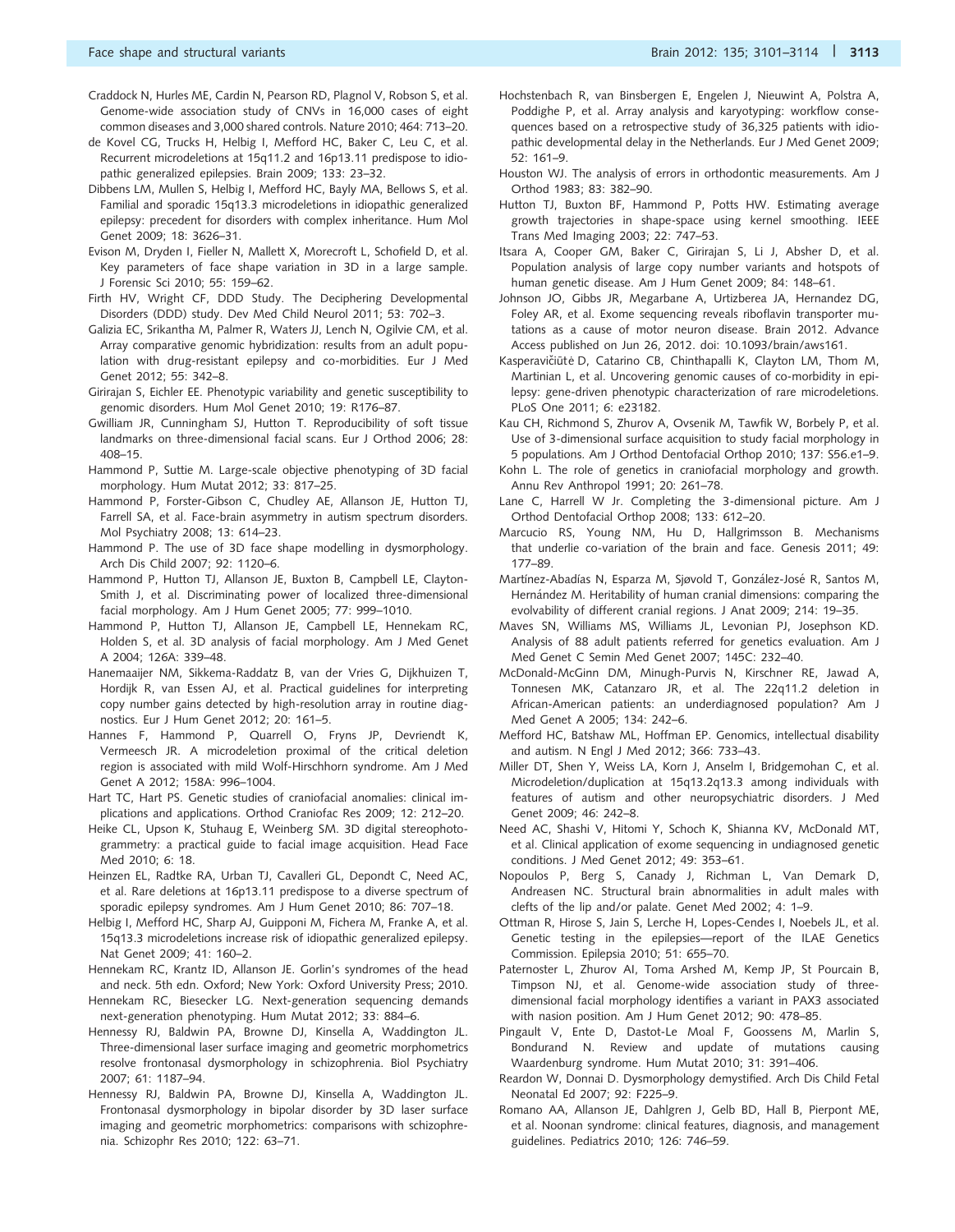- <span id="page-12-0"></span>Craddock N, Hurles ME, Cardin N, Pearson RD, Plagnol V, Robson S, et al. Genome-wide association study of CNVs in 16,000 cases of eight common diseases and 3,000 shared controls. Nature 2010; 464: 713–20.
- de Kovel CG, Trucks H, Helbig I, Mefford HC, Baker C, Leu C, et al. Recurrent microdeletions at 15q11.2 and 16p13.11 predispose to idiopathic generalized epilepsies. Brain 2009; 133: 23–32.
- Dibbens LM, Mullen S, Helbig I, Mefford HC, Bayly MA, Bellows S, et al. Familial and sporadic 15q13.3 microdeletions in idiopathic generalized epilepsy: precedent for disorders with complex inheritance. Hum Mol Genet 2009; 18: 3626–31.
- Evison M, Dryden I, Fieller N, Mallett X, Morecroft L, Schofield D, et al. Key parameters of face shape variation in 3D in a large sample. J Forensic Sci 2010; 55: 159–62.
- Firth HV, Wright CF, DDD Study. The Deciphering Developmental Disorders (DDD) study. Dev Med Child Neurol 2011; 53: 702–3.
- Galizia EC, Srikantha M, Palmer R, Waters JJ, Lench N, Ogilvie CM, et al. Array comparative genomic hybridization: results from an adult population with drug-resistant epilepsy and co-morbidities. Eur J Med Genet 2012; 55: 342–8.
- Girirajan S, Eichler EE. Phenotypic variability and genetic susceptibility to genomic disorders. Hum Mol Genet 2010; 19: R176–87.
- Gwilliam JR, Cunningham SJ, Hutton T. Reproducibility of soft tissue landmarks on three-dimensional facial scans. Eur J Orthod 2006; 28: 408–15.
- Hammond P, Suttie M. Large-scale objective phenotyping of 3D facial morphology. Hum Mutat 2012; 33: 817–25.
- Hammond P, Forster-Gibson C, Chudley AE, Allanson JE, Hutton TJ, Farrell SA, et al. Face-brain asymmetry in autism spectrum disorders. Mol Psychiatry 2008; 13: 614–23.
- Hammond P. The use of 3D face shape modelling in dysmorphology. Arch Dis Child 2007; 92: 1120–6.
- Hammond P, Hutton TJ, Allanson JE, Buxton B, Campbell LE, Clayton-Smith J, et al. Discriminating power of localized three-dimensional facial morphology. Am J Hum Genet 2005; 77: 999–1010.
- Hammond P, Hutton TJ, Allanson JE, Campbell LE, Hennekam RC, Holden S, et al. 3D analysis of facial morphology. Am J Med Genet A 2004; 126A: 339–48.
- Hanemaaijer NM, Sikkema-Raddatz B, van der Vries G, Dijkhuizen T, Hordijk R, van Essen AJ, et al. Practical guidelines for interpreting copy number gains detected by high-resolution array in routine diagnostics. Eur J Hum Genet 2012; 20: 161–5.
- Hannes F, Hammond P, Quarrell O, Fryns JP, Devriendt K, Vermeesch JR. A microdeletion proximal of the critical deletion region is associated with mild Wolf-Hirschhorn syndrome. Am J Med Genet A 2012; 158A: 996–1004.
- Hart TC, Hart PS. Genetic studies of craniofacial anomalies: clinical implications and applications. Orthod Craniofac Res 2009; 12: 212–20.
- Heike CL, Upson K, Stuhaug E, Weinberg SM. 3D digital stereophotogrammetry: a practical guide to facial image acquisition. Head Face Med 2010; 6: 18.
- Heinzen EL, Radtke RA, Urban TJ, Cavalleri GL, Depondt C, Need AC, et al. Rare deletions at 16p13.11 predispose to a diverse spectrum of sporadic epilepsy syndromes. Am J Hum Genet 2010; 86: 707–18.
- Helbig I, Mefford HC, Sharp AJ, Guipponi M, Fichera M, Franke A, et al. 15q13.3 microdeletions increase risk of idiopathic generalized epilepsy. Nat Genet 2009; 41: 160–2.
- Hennekam RC, Krantz ID, Allanson JE. Gorlin's syndromes of the head and neck. 5th edn. Oxford; New York: Oxford University Press; 2010.
- Hennekam RC, Biesecker LG. Next-generation sequencing demands next-generation phenotyping. Hum Mutat 2012; 33: 884–6.
- Hennessy RJ, Baldwin PA, Browne DJ, Kinsella A, Waddington JL. Three-dimensional laser surface imaging and geometric morphometrics resolve frontonasal dysmorphology in schizophrenia. Biol Psychiatry 2007; 61: 1187–94.
- Hennessy RJ, Baldwin PA, Browne DJ, Kinsella A, Waddington JL. Frontonasal dysmorphology in bipolar disorder by 3D laser surface imaging and geometric morphometrics: comparisons with schizophrenia. Schizophr Res 2010; 122: 63–71.
- Hochstenbach R, van Binsbergen E, Engelen J, Nieuwint A, Polstra A, Poddighe P, et al. Array analysis and karyotyping: workflow consequences based on a retrospective study of 36,325 patients with idiopathic developmental delay in the Netherlands. Eur J Med Genet 2009;  $52:161-9$
- Houston WJ. The analysis of errors in orthodontic measurements. Am J Orthod 1983; 83: 382–90.
- Hutton TJ, Buxton BF, Hammond P, Potts HW. Estimating average growth trajectories in shape-space using kernel smoothing. IEEE Trans Med Imaging 2003; 22: 747–53.
- Itsara A, Cooper GM, Baker C, Girirajan S, Li J, Absher D, et al. Population analysis of large copy number variants and hotspots of human genetic disease. Am J Hum Genet 2009; 84: 148–61.
- Johnson JO, Gibbs JR, Megarbane A, Urtizberea JA, Hernandez DG, Foley AR, et al. Exome sequencing reveals riboflavin transporter mutations as a cause of motor neuron disease. Brain 2012. Advance Access published on Jun 26, 2012. doi: 10.1093/brain/aws161.
- Kasperavičiūtė D, Catarino CB, Chinthapalli K, Clayton LM, Thom M, Martinian L, et al. Uncovering genomic causes of co-morbidity in epilepsy: gene-driven phenotypic characterization of rare microdeletions. PLoS One 2011; 6: e23182.
- Kau CH, Richmond S, Zhurov A, Ovsenik M, Tawfik W, Borbely P, et al. Use of 3-dimensional surface acquisition to study facial morphology in 5 populations. Am J Orthod Dentofacial Orthop 2010; 137: S56.e1–9.
- Kohn L. The role of genetics in craniofacial morphology and growth. Annu Rev Anthropol 1991; 20: 261–78.
- Lane C, Harrell W Jr. Completing the 3-dimensional picture. Am J Orthod Dentofacial Orthop 2008; 133: 612–20.
- Marcucio RS, Young NM, Hu D, Hallgrimsson B. Mechanisms that underlie co-variation of the brain and face. Genesis 2011; 49: 177–89.
- Martínez-Abadías N, Esparza M, Sjøvold T, González-José R, Santos M, Hernández M. Heritability of human cranial dimensions: comparing the evolvability of different cranial regions. J Anat 2009; 214: 19–35.
- Maves SN, Williams MS, Williams JL, Levonian PJ, Josephson KD. Analysis of 88 adult patients referred for genetics evaluation. Am J Med Genet C Semin Med Genet 2007; 145C: 232–40.
- McDonald-McGinn DM, Minugh-Purvis N, Kirschner RE, Jawad A, Tonnesen MK, Catanzaro JR, et al. The 22q11.2 deletion in African-American patients: an underdiagnosed population? Am J Med Genet A 2005; 134: 242–6.
- Mefford HC, Batshaw ML, Hoffman EP. Genomics, intellectual disability and autism. N Engl J Med 2012; 366: 733–43.
- Miller DT, Shen Y, Weiss LA, Korn J, Anselm I, Bridgemohan C, et al. Microdeletion/duplication at 15q13.2q13.3 among individuals with features of autism and other neuropsychiatric disorders. J Med Genet 2009; 46: 242–8.
- Need AC, Shashi V, Hitomi Y, Schoch K, Shianna KV, McDonald MT, et al. Clinical application of exome sequencing in undiagnosed genetic conditions. J Med Genet 2012; 49: 353–61.
- Nopoulos P, Berg S, Canady J, Richman L, Van Demark D, Andreasen NC. Structural brain abnormalities in adult males with clefts of the lip and/or palate. Genet Med 2002; 4: 1–9.
- Ottman R, Hirose S, Jain S, Lerche H, Lopes-Cendes I, Noebels JL, et al. Genetic testing in the epilepsies—report of the ILAE Genetics Commission. Epilepsia 2010; 51: 655–70.
- Paternoster L, Zhurov AI, Toma Arshed M, Kemp JP, St Pourcain B, Timpson NJ, et al. Genome-wide association study of threedimensional facial morphology identifies a variant in PAX3 associated with nasion position. Am J Hum Genet 2012; 90: 478–85.
- Pingault V, Ente D, Dastot-Le Moal F, Goossens M, Marlin S, Bondurand N. Review and update of mutations causing Waardenburg syndrome. Hum Mutat 2010; 31: 391–406.
- Reardon W, Donnai D. Dysmorphology demystified. Arch Dis Child Fetal Neonatal Ed 2007; 92: F225–9.
- Romano AA, Allanson JE, Dahlgren J, Gelb BD, Hall B, Pierpont ME, et al. Noonan syndrome: clinical features, diagnosis, and management guidelines. Pediatrics 2010; 126: 746–59.